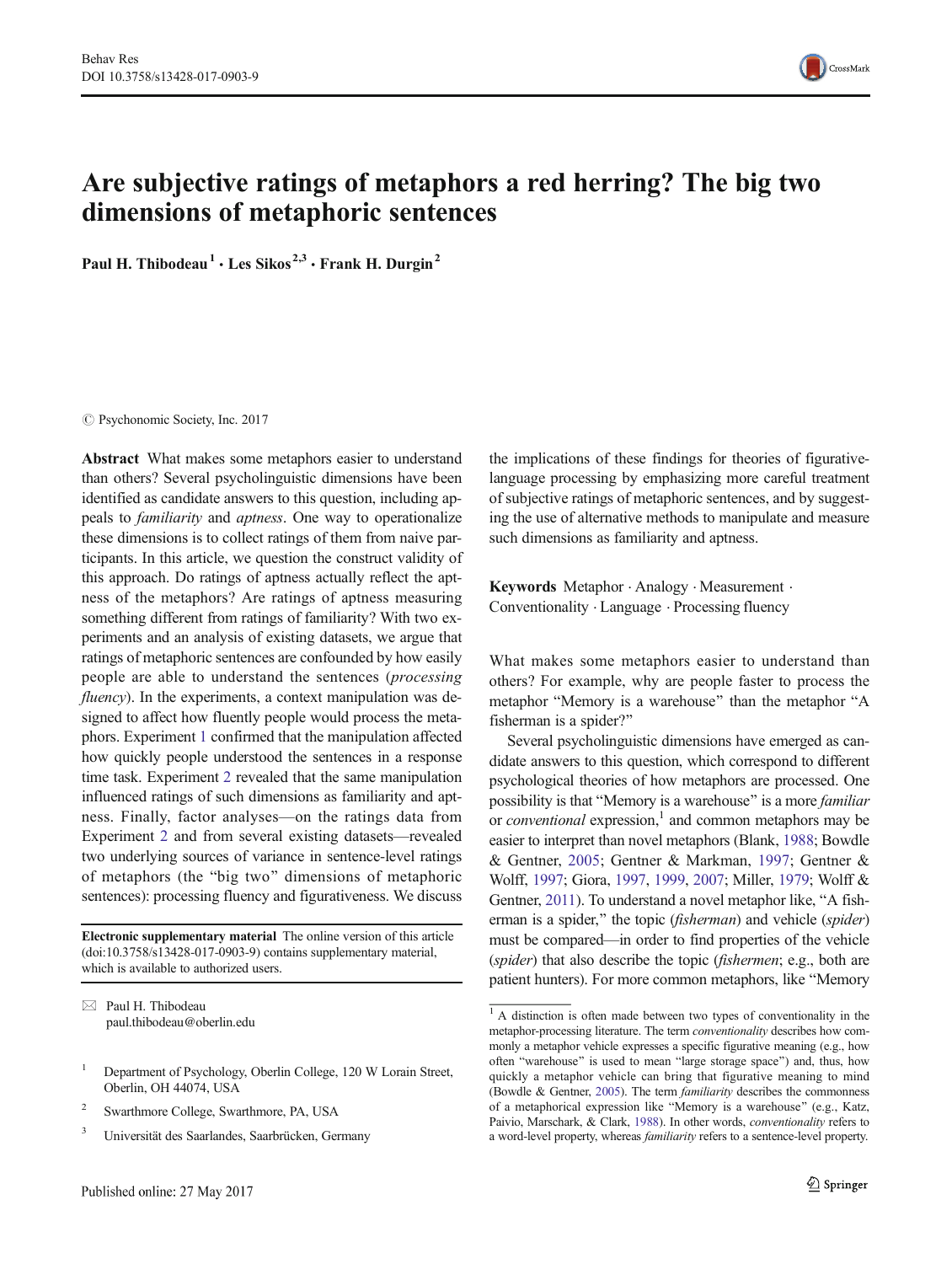

# Are subjective ratings of metaphors a red herring? The big two dimensions of metaphoric sentences

Paul H. Thibodeau<sup>1</sup>  $\cdot$  Les Sikos<sup>2,3</sup>  $\cdot$  Frank H. Durgin<sup>2</sup>

 $\circ$  Psychonomic Society, Inc. 2017

Abstract What makes some metaphors easier to understand than others? Several psycholinguistic dimensions have been identified as candidate answers to this question, including appeals to familiarity and aptness. One way to operationalize these dimensions is to collect ratings of them from naive participants. In this article, we question the construct validity of this approach. Do ratings of aptness actually reflect the aptness of the metaphors? Are ratings of aptness measuring something different from ratings of familiarity? With two experiments and an analysis of existing datasets, we argue that ratings of metaphoric sentences are confounded by how easily people are able to understand the sentences (processing  $fluency$ ). In the experiments, a context manipulation was designed to affect how fluently people would process the metaphors. Experiment [1](#page-2-0) confirmed that the manipulation affected how quickly people understood the sentences in a response time task. Experiment [2](#page-4-0) revealed that the same manipulation influenced ratings of such dimensions as familiarity and aptness. Finally, factor analyses—on the ratings data from Experiment [2](#page-4-0) and from several existing datasets—revealed two underlying sources of variance in sentence-level ratings of metaphors (the "big two" dimensions of metaphoric sentences): processing fluency and figurativeness. We discuss

Electronic supplementary material The online version of this article (doi[:10.3758/s13428-017-0903-9](http://dx.doi.org/10.3758/s13428-017-0903-9)) contains supplementary material, which is available to authorized users.

 $\boxtimes$  Paul H. Thibodeau paul.thibodeau@oberlin.edu

- <sup>1</sup> Department of Psychology, Oberlin College, 120 W Lorain Street, Oberlin, OH 44074, USA
- <sup>2</sup> Swarthmore College, Swarthmore, PA, USA
- <sup>3</sup> Universität des Saarlandes, Saarbrücken, Germany

the implications of these findings for theories of figurativelanguage processing by emphasizing more careful treatment of subjective ratings of metaphoric sentences, and by suggesting the use of alternative methods to manipulate and measure such dimensions as familiarity and aptness.

Keywords Metaphor . Analogy . Measurement . Conventionality . Language . Processing fluency

What makes some metaphors easier to understand than others? For example, why are people faster to process the metaphor "Memory is a warehouse" than the metaphor "A fisherman is a spider?"

Several psycholinguistic dimensions have emerged as candidate answers to this question, which correspond to different psychological theories of how metaphors are processed. One possibility is that "Memory is a warehouse" is a more familiar or *conventional* expression, $\frac{1}{2}$  and common metaphors may be easier to interpret than novel metaphors (Blank, [1988](#page-12-0); Bowdle & Gentner, [2005;](#page-12-0) Gentner & Markman, [1997](#page-12-0); Gentner & Wolff, [1997;](#page-12-0) Giora, [1997](#page-12-0), [1999,](#page-12-0) [2007](#page-12-0); Miller, [1979](#page-13-0); Wolff & Gentner, [2011](#page-13-0)). To understand a novel metaphor like, "A fisherman is a spider," the topic (fisherman) and vehicle (spider) must be compared—in order to find properties of the vehicle (spider) that also describe the topic (*fishermen*; e.g., both are patient hunters). For more common metaphors, like "Memory

<sup>&</sup>lt;sup>1</sup> A distinction is often made between two types of conventionality in the metaphor-processing literature. The term conventionality describes how commonly a metaphor vehicle expresses a specific figurative meaning (e.g., how often "warehouse" is used to mean "large storage space") and, thus, how quickly a metaphor vehicle can bring that figurative meaning to mind (Bowdle & Gentner, [2005](#page-12-0)). The term familiarity describes the commonness of a metaphorical expression like "Memory is a warehouse" (e.g., Katz, Paivio, Marschark, & Clark, [1988](#page-12-0)). In other words, conventionality refers to a word-level property, whereas familiarity refers to a sentence-level property.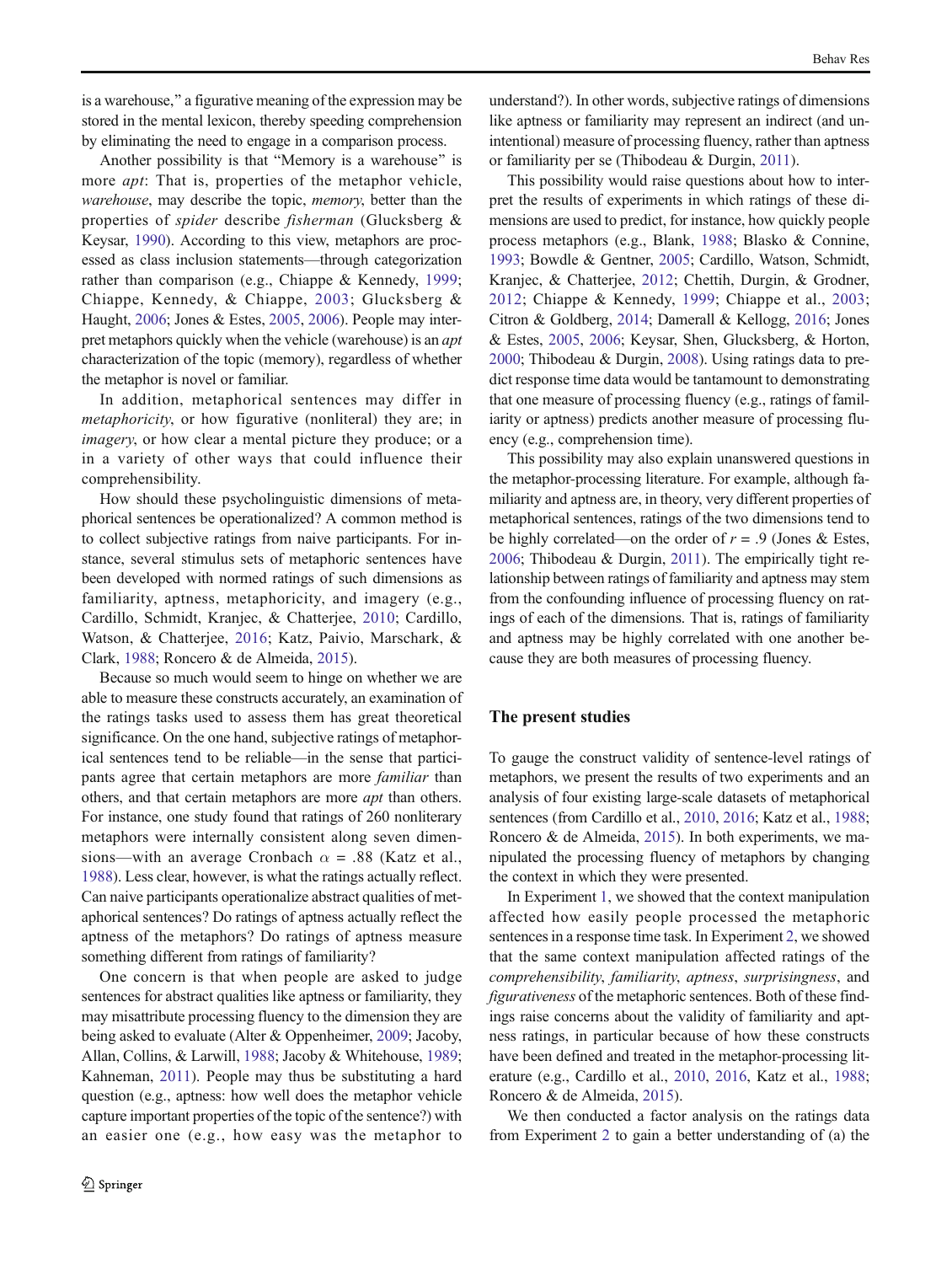is a warehouse," a figurative meaning of the expression may be stored in the mental lexicon, thereby speeding comprehension by eliminating the need to engage in a comparison process.

Another possibility is that "Memory is a warehouse" is more *apt*: That is, properties of the metaphor vehicle, warehouse, may describe the topic, memory, better than the properties of spider describe fisherman (Glucksberg & Keysar, [1990\)](#page-12-0). According to this view, metaphors are processed as class inclusion statements—through categorization rather than comparison (e.g., Chiappe & Kennedy, [1999](#page-12-0); Chiappe, Kennedy, & Chiappe, [2003](#page-12-0); Glucksberg & Haught, [2006](#page-12-0); Jones & Estes, [2005](#page-12-0), [2006](#page-12-0)). People may interpret metaphors quickly when the vehicle (warehouse) is an apt characterization of the topic (memory), regardless of whether the metaphor is novel or familiar.

In addition, metaphorical sentences may differ in metaphoricity, or how figurative (nonliteral) they are; in imagery, or how clear a mental picture they produce; or a in a variety of other ways that could influence their comprehensibility.

How should these psycholinguistic dimensions of metaphorical sentences be operationalized? A common method is to collect subjective ratings from naive participants. For instance, several stimulus sets of metaphoric sentences have been developed with normed ratings of such dimensions as familiarity, aptness, metaphoricity, and imagery (e.g., Cardillo, Schmidt, Kranjec, & Chatterjee, [2010](#page-12-0); Cardillo, Watson, & Chatterjee, [2016](#page-12-0); Katz, Paivio, Marschark, & Clark, [1988](#page-12-0); Roncero & de Almeida, [2015](#page-13-0)).

Because so much would seem to hinge on whether we are able to measure these constructs accurately, an examination of the ratings tasks used to assess them has great theoretical significance. On the one hand, subjective ratings of metaphorical sentences tend to be reliable—in the sense that participants agree that certain metaphors are more familiar than others, and that certain metaphors are more apt than others. For instance, one study found that ratings of 260 nonliterary metaphors were internally consistent along seven dimensions—with an average Cronbach  $\alpha$  = .88 (Katz et al., [1988\)](#page-12-0). Less clear, however, is what the ratings actually reflect. Can naive participants operationalize abstract qualities of metaphorical sentences? Do ratings of aptness actually reflect the aptness of the metaphors? Do ratings of aptness measure something different from ratings of familiarity?

One concern is that when people are asked to judge sentences for abstract qualities like aptness or familiarity, they may misattribute processing fluency to the dimension they are being asked to evaluate (Alter & Oppenheimer, [2009](#page-12-0); Jacoby, Allan, Collins, & Larwill, [1988;](#page-12-0) Jacoby & Whitehouse, [1989](#page-12-0); Kahneman, [2011\)](#page-12-0). People may thus be substituting a hard question (e.g., aptness: how well does the metaphor vehicle capture important properties of the topic of the sentence?) with an easier one (e.g., how easy was the metaphor to

understand?). In other words, subjective ratings of dimensions like aptness or familiarity may represent an indirect (and unintentional) measure of processing fluency, rather than aptness or familiarity per se (Thibodeau & Durgin, [2011\)](#page-13-0).

This possibility would raise questions about how to interpret the results of experiments in which ratings of these dimensions are used to predict, for instance, how quickly people process metaphors (e.g., Blank, [1988;](#page-12-0) Blasko & Connine, [1993;](#page-12-0) Bowdle & Gentner, [2005;](#page-12-0) Cardillo, Watson, Schmidt, Kranjec, & Chatterjee, [2012;](#page-12-0) Chettih, Durgin, & Grodner, [2012;](#page-12-0) Chiappe & Kennedy, [1999;](#page-12-0) Chiappe et al., [2003;](#page-12-0) Citron & Goldberg, [2014;](#page-12-0) Damerall & Kellogg, [2016](#page-12-0); Jones & Estes, [2005,](#page-12-0) [2006](#page-12-0); Keysar, Shen, Glucksberg, & Horton, [2000;](#page-12-0) Thibodeau & Durgin, [2008](#page-13-0)). Using ratings data to predict response time data would be tantamount to demonstrating that one measure of processing fluency (e.g., ratings of familiarity or aptness) predicts another measure of processing fluency (e.g., comprehension time).

This possibility may also explain unanswered questions in the metaphor-processing literature. For example, although familiarity and aptness are, in theory, very different properties of metaphorical sentences, ratings of the two dimensions tend to be highly correlated—on the order of  $r = .9$  (Jones & Estes, [2006;](#page-12-0) Thibodeau & Durgin, [2011](#page-13-0)). The empirically tight relationship between ratings of familiarity and aptness may stem from the confounding influence of processing fluency on ratings of each of the dimensions. That is, ratings of familiarity and aptness may be highly correlated with one another because they are both measures of processing fluency.

## The present studies

To gauge the construct validity of sentence-level ratings of metaphors, we present the results of two experiments and an analysis of four existing large-scale datasets of metaphorical sentences (from Cardillo et al., [2010,](#page-12-0) [2016](#page-12-0); Katz et al., [1988;](#page-12-0) Roncero & de Almeida, [2015\)](#page-13-0). In both experiments, we manipulated the processing fluency of metaphors by changing the context in which they were presented.

In Experiment [1](#page-2-0), we showed that the context manipulation affected how easily people processed the metaphoric sentences in a response time task. In Experiment [2,](#page-4-0) we showed that the same context manipulation affected ratings of the comprehensibility, familiarity, aptness, surprisingness, and figurativeness of the metaphoric sentences. Both of these findings raise concerns about the validity of familiarity and aptness ratings, in particular because of how these constructs have been defined and treated in the metaphor-processing literature (e.g., Cardillo et al., [2010,](#page-12-0) [2016](#page-12-0), Katz et al., [1988;](#page-12-0) Roncero & de Almeida, [2015\)](#page-13-0).

We then conducted a factor analysis on the ratings data from Experiment [2](#page-4-0) to gain a better understanding of (a) the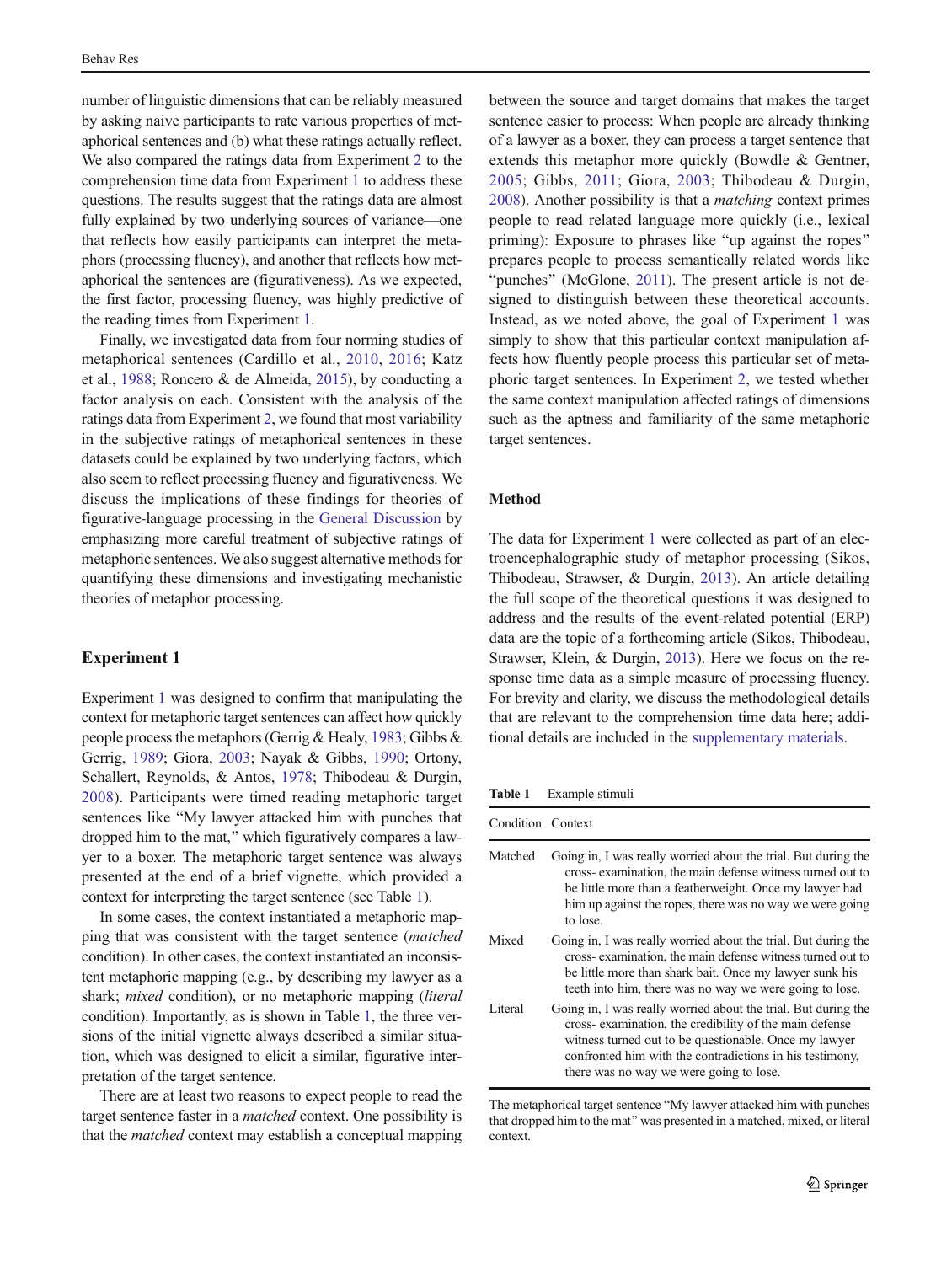<span id="page-2-0"></span>number of linguistic dimensions that can be reliably measured by asking naive participants to rate various properties of metaphorical sentences and (b) what these ratings actually reflect. We also compared the ratings data from Experiment [2](#page-4-0) to the comprehension time data from Experiment 1 to address these questions. The results suggest that the ratings data are almost fully explained by two underlying sources of variance—one that reflects how easily participants can interpret the metaphors (processing fluency), and another that reflects how metaphorical the sentences are (figurativeness). As we expected, the first factor, processing fluency, was highly predictive of the reading times from Experiment 1.

Finally, we investigated data from four norming studies of metaphorical sentences (Cardillo et al., [2010](#page-12-0), [2016;](#page-12-0) Katz et al., [1988](#page-12-0); Roncero & de Almeida, [2015](#page-13-0)), by conducting a factor analysis on each. Consistent with the analysis of the ratings data from Experiment [2,](#page-4-0) we found that most variability in the subjective ratings of metaphorical sentences in these datasets could be explained by two underlying factors, which also seem to reflect processing fluency and figurativeness. We discuss the implications of these findings for theories of figurative-language processing in the [General Discussion](#page-9-0) by emphasizing more careful treatment of subjective ratings of metaphoric sentences. We also suggest alternative methods for quantifying these dimensions and investigating mechanistic theories of metaphor processing.

# Experiment 1

Experiment 1 was designed to confirm that manipulating the context for metaphoric target sentences can affect how quickly people process the metaphors (Gerrig & Healy, [1983;](#page-12-0) Gibbs & Gerrig, [1989](#page-12-0); Giora, [2003;](#page-12-0) Nayak & Gibbs, [1990](#page-13-0); Ortony, Schallert, Reynolds, & Antos, [1978;](#page-13-0) Thibodeau & Durgin, [2008](#page-13-0)). Participants were timed reading metaphoric target sentences like "My lawyer attacked him with punches that dropped him to the mat," which figuratively compares a lawyer to a boxer. The metaphoric target sentence was always presented at the end of a brief vignette, which provided a context for interpreting the target sentence (see Table 1).

In some cases, the context instantiated a metaphoric mapping that was consistent with the target sentence (matched condition). In other cases, the context instantiated an inconsistent metaphoric mapping (e.g., by describing my lawyer as a shark; *mixed* condition), or no metaphoric mapping (literal condition). Importantly, as is shown in Table 1, the three versions of the initial vignette always described a similar situation, which was designed to elicit a similar, figurative interpretation of the target sentence.

There are at least two reasons to expect people to read the target sentence faster in a matched context. One possibility is that the matched context may establish a conceptual mapping between the source and target domains that makes the target sentence easier to process: When people are already thinking of a lawyer as a boxer, they can process a target sentence that extends this metaphor more quickly (Bowdle & Gentner, [2005](#page-12-0); Gibbs, [2011](#page-12-0); Giora, [2003;](#page-12-0) Thibodeau & Durgin, [2008\)](#page-13-0). Another possibility is that a matching context primes people to read related language more quickly (i.e., lexical priming): Exposure to phrases like "up against the ropes" prepares people to process semantically related words like "punches" (McGlone, [2011](#page-13-0)). The present article is not designed to distinguish between these theoretical accounts. Instead, as we noted above, the goal of Experiment 1 was simply to show that this particular context manipulation affects how fluently people process this particular set of metaphoric target sentences. In Experiment [2,](#page-4-0) we tested whether the same context manipulation affected ratings of dimensions such as the aptness and familiarity of the same metaphoric target sentences.

# Method

The data for Experiment 1 were collected as part of an electroencephalographic study of metaphor processing (Sikos, Thibodeau, Strawser, & Durgin, [2013\)](#page-13-0). An article detailing the full scope of the theoretical questions it was designed to address and the results of the event-related potential (ERP) data are the topic of a forthcoming article (Sikos, Thibodeau, Strawser, Klein, & Durgin, [2013\)](#page-13-0). Here we focus on the response time data as a simple measure of processing fluency. For brevity and clarity, we discuss the methodological details that are relevant to the comprehension time data here; additional details are included in the supplementary materials.

Table 1 Example stimuli

| Condition Context |                                                                                                                                                                                                                                                                                          |
|-------------------|------------------------------------------------------------------------------------------------------------------------------------------------------------------------------------------------------------------------------------------------------------------------------------------|
| Matched           | Going in, I was really worried about the trial. But during the<br>cross-examination, the main defense witness turned out to<br>be little more than a featherweight. Once my lawyer had<br>him up against the ropes, there was no way we were going<br>to lose.                           |
| Mixed             | Going in, I was really worried about the trial. But during the<br>cross- examination, the main defense witness turned out to<br>be little more than shark bait. Once my lawyer sunk his<br>teeth into him, there was no way we were going to lose.                                       |
| Literal           | Going in, I was really worried about the trial. But during the<br>cross-examination, the credibility of the main defense<br>witness turned out to be questionable. Once my lawyer<br>confronted him with the contradictions in his testimony,<br>there was no way we were going to lose. |

The metaphorical target sentence "My lawyer attacked him with punches that dropped him to the mat^ was presented in a matched, mixed, or literal context.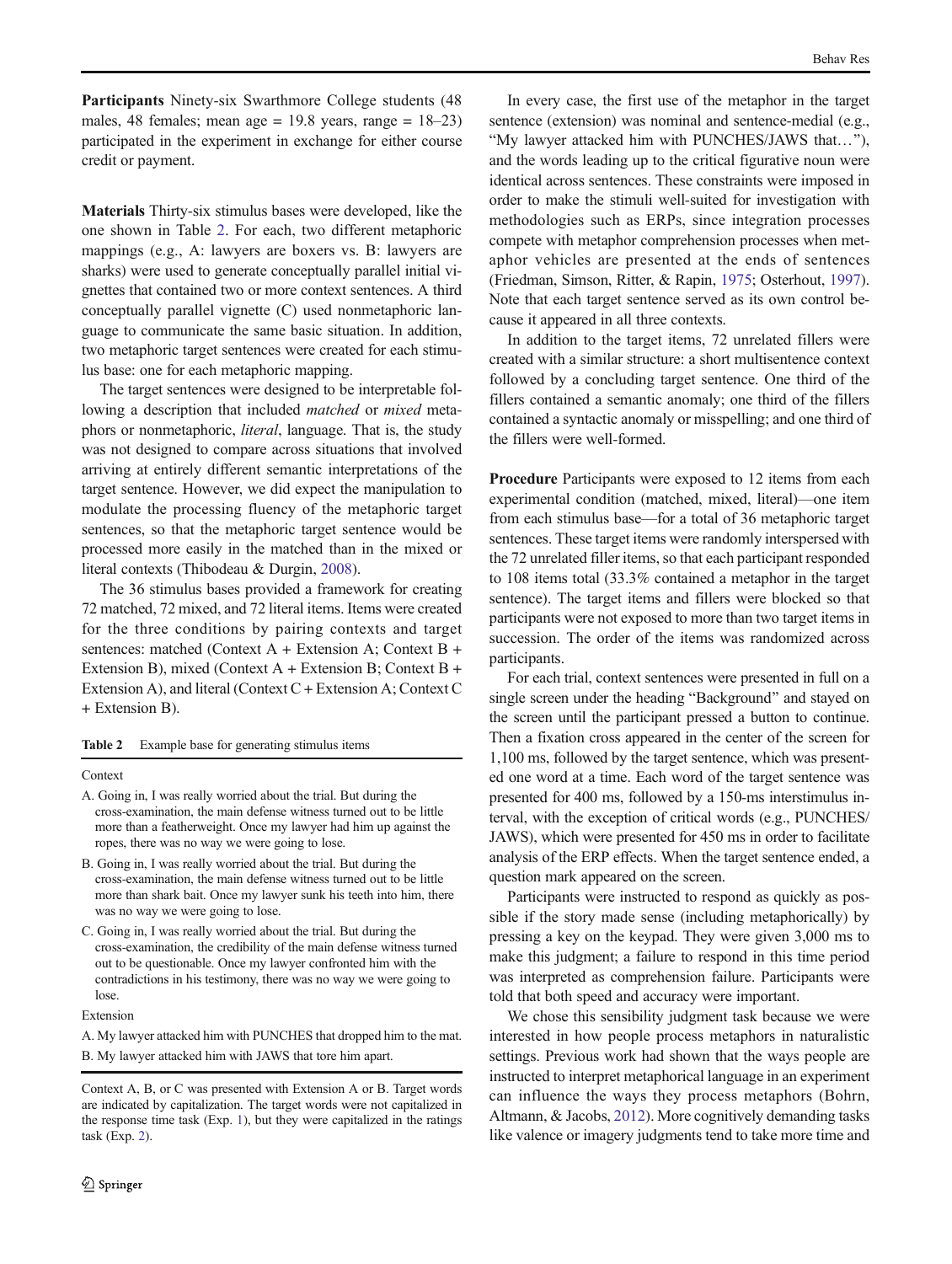<span id="page-3-0"></span>Participants Ninety-six Swarthmore College students (48) males, 48 females; mean age =  $19.8$  years, range =  $18-23$ ) participated in the experiment in exchange for either course credit or payment.

Materials Thirty-six stimulus bases were developed, like the one shown in Table 2. For each, two different metaphoric mappings (e.g., A: lawyers are boxers vs. B: lawyers are sharks) were used to generate conceptually parallel initial vignettes that contained two or more context sentences. A third conceptually parallel vignette (C) used nonmetaphoric language to communicate the same basic situation. In addition, two metaphoric target sentences were created for each stimulus base: one for each metaphoric mapping.

The target sentences were designed to be interpretable following a description that included matched or mixed metaphors or nonmetaphoric, literal, language. That is, the study was not designed to compare across situations that involved arriving at entirely different semantic interpretations of the target sentence. However, we did expect the manipulation to modulate the processing fluency of the metaphoric target sentences, so that the metaphoric target sentence would be processed more easily in the matched than in the mixed or literal contexts (Thibodeau & Durgin, [2008](#page-13-0)).

The 36 stimulus bases provided a framework for creating 72 matched, 72 mixed, and 72 literal items. Items were created for the three conditions by pairing contexts and target sentences: matched (Context A + Extension A; Context B + Extension B), mixed (Context A + Extension B; Context B + Extension A), and literal (Context C + Extension A; Context C + Extension B).

#### Table 2 Example base for generating stimulus items

#### Context

- A. Going in, I was really worried about the trial. But during the cross-examination, the main defense witness turned out to be little more than a featherweight. Once my lawyer had him up against the ropes, there was no way we were going to lose.
- B. Going in, I was really worried about the trial. But during the cross-examination, the main defense witness turned out to be little more than shark bait. Once my lawyer sunk his teeth into him, there was no way we were going to lose.
- C. Going in, I was really worried about the trial. But during the cross-examination, the credibility of the main defense witness turned out to be questionable. Once my lawyer confronted him with the contradictions in his testimony, there was no way we were going to lose.

#### Extension

A. My lawyer attacked him with PUNCHES that dropped him to the mat. B. My lawyer attacked him with JAWS that tore him apart.

In every case, the first use of the metaphor in the target sentence (extension) was nominal and sentence-medial (e.g., "My lawyer attacked him with PUNCHES/JAWS that..."), and the words leading up to the critical figurative noun were identical across sentences. These constraints were imposed in order to make the stimuli well-suited for investigation with methodologies such as ERPs, since integration processes compete with metaphor comprehension processes when metaphor vehicles are presented at the ends of sentences (Friedman, Simson, Ritter, & Rapin, [1975](#page-12-0); Osterhout, [1997\)](#page-13-0). Note that each target sentence served as its own control because it appeared in all three contexts.

In addition to the target items, 72 unrelated fillers were created with a similar structure: a short multisentence context followed by a concluding target sentence. One third of the fillers contained a semantic anomaly; one third of the fillers contained a syntactic anomaly or misspelling; and one third of the fillers were well-formed.

Procedure Participants were exposed to 12 items from each experimental condition (matched, mixed, literal)—one item from each stimulus base—for a total of 36 metaphoric target sentences. These target items were randomly interspersed with the 72 unrelated filler items, so that each participant responded to 108 items total (33.3% contained a metaphor in the target sentence). The target items and fillers were blocked so that participants were not exposed to more than two target items in succession. The order of the items was randomized across participants.

For each trial, context sentences were presented in full on a single screen under the heading "Background" and stayed on the screen until the participant pressed a button to continue. Then a fixation cross appeared in the center of the screen for 1,100 ms, followed by the target sentence, which was presented one word at a time. Each word of the target sentence was presented for 400 ms, followed by a 150-ms interstimulus interval, with the exception of critical words (e.g., PUNCHES/ JAWS), which were presented for 450 ms in order to facilitate analysis of the ERP effects. When the target sentence ended, a question mark appeared on the screen.

Participants were instructed to respond as quickly as possible if the story made sense (including metaphorically) by pressing a key on the keypad. They were given 3,000 ms to make this judgment; a failure to respond in this time period was interpreted as comprehension failure. Participants were told that both speed and accuracy were important.

We chose this sensibility judgment task because we were interested in how people process metaphors in naturalistic settings. Previous work had shown that the ways people are instructed to interpret metaphorical language in an experiment can influence the ways they process metaphors (Bohrn, Altmann, & Jacobs, [2012\)](#page-12-0). More cognitively demanding tasks like valence or imagery judgments tend to take more time and

Context A, B, or C was presented with Extension A or B. Target words are indicated by capitalization. The target words were not capitalized in the response time task (Exp. [1](#page-2-0)), but they were capitalized in the ratings task (Exp. [2\)](#page-4-0).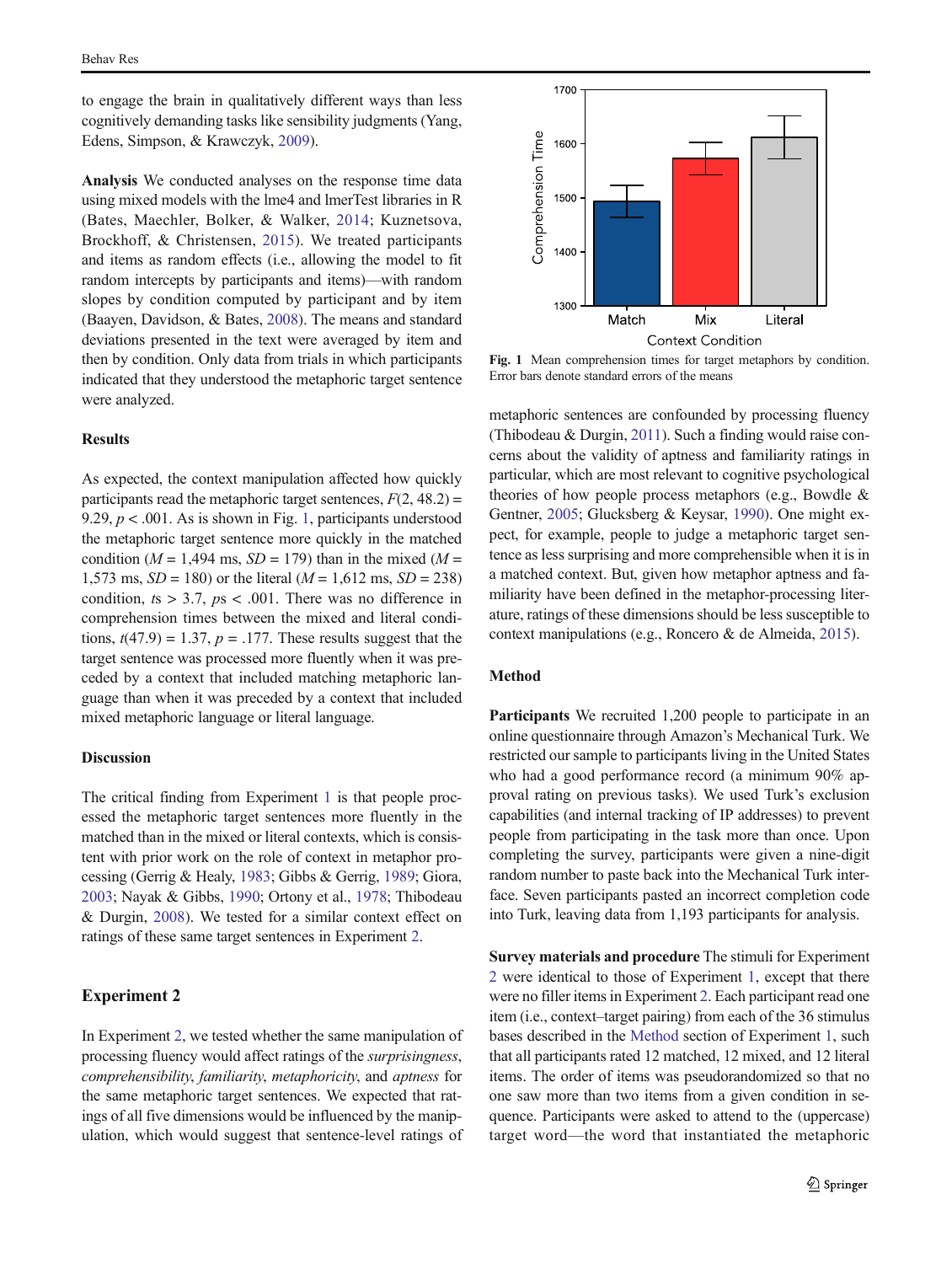<span id="page-4-0"></span>to engage the brain in qualitatively different ways than less cognitively demanding tasks like sensibility judgments (Yang, Edens, Simpson, & Krawczyk, [2009\)](#page-13-0).

Analysis We conducted analyses on the response time data using mixed models with the lme4 and lmerTest libraries in R (Bates, Maechler, Bolker, & Walker, [2014](#page-12-0); Kuznetsova, Brockhoff, & Christensen, [2015](#page-13-0)). We treated participants and items as random effects (i.e., allowing the model to fit random intercepts by participants and items)—with random slopes by condition computed by participant and by item (Baayen, Davidson, & Bates, [2008\)](#page-12-0). The means and standard deviations presented in the text were averaged by item and then by condition. Only data from trials in which participants indicated that they understood the metaphoric target sentence were analyzed.

# **Results**

As expected, the context manipulation affected how quickly participants read the metaphoric target sentences,  $F(2, 48.2) =$ 9.29,  $p < .001$ . As is shown in Fig. 1, participants understood the metaphoric target sentence more quickly in the matched condition ( $M = 1,494$  ms,  $SD = 179$ ) than in the mixed ( $M =$ 1,573 ms,  $SD = 180$ ) or the literal  $(M = 1,612 \text{ ms}, SD = 238)$ condition,  $ts > 3.7$ ,  $ps < .001$ . There was no difference in comprehension times between the mixed and literal conditions,  $t(47.9) = 1.37$ ,  $p = .177$ . These results suggest that the target sentence was processed more fluently when it was preceded by a context that included matching metaphoric language than when it was preceded by a context that included mixed metaphoric language or literal language.

## **Discussion**

The critical finding from Experiment [1](#page-2-0) is that people processed the metaphoric target sentences more fluently in the matched than in the mixed or literal contexts, which is consistent with prior work on the role of context in metaphor processing (Gerrig & Healy, [1983](#page-12-0); Gibbs & Gerrig, [1989;](#page-12-0) Giora, [2003;](#page-12-0) Nayak & Gibbs, [1990;](#page-13-0) Ortony et al., [1978](#page-13-0); Thibodeau & Durgin, [2008\)](#page-13-0). We tested for a similar context effect on ratings of these same target sentences in Experiment 2.

# Experiment 2

In Experiment 2, we tested whether the same manipulation of processing fluency would affect ratings of the surprisingness, comprehensibility, familiarity, metaphoricity, and aptness for the same metaphoric target sentences. We expected that ratings of all five dimensions would be influenced by the manipulation, which would suggest that sentence-level ratings of



Fig. 1 Mean comprehension times for target metaphors by condition. Error bars denote standard errors of the means

metaphoric sentences are confounded by processing fluency (Thibodeau & Durgin, [2011](#page-13-0)). Such a finding would raise concerns about the validity of aptness and familiarity ratings in particular, which are most relevant to cognitive psychological theories of how people process metaphors (e.g., Bowdle & Gentner, [2005](#page-12-0); Glucksberg & Keysar, [1990](#page-12-0)). One might expect, for example, people to judge a metaphoric target sentence as less surprising and more comprehensible when it is in a matched context. But, given how metaphor aptness and familiarity have been defined in the metaphor-processing literature, ratings of these dimensions should be less susceptible to context manipulations (e.g., Roncero & de Almeida, [2015\)](#page-13-0).

# Method

Participants We recruited 1,200 people to participate in an online questionnaire through Amazon's Mechanical Turk. We restricted our sample to participants living in the United States who had a good performance record (a minimum 90% approval rating on previous tasks). We used Turk's exclusion capabilities (and internal tracking of IP addresses) to prevent people from participating in the task more than once. Upon completing the survey, participants were given a nine-digit random number to paste back into the Mechanical Turk interface. Seven participants pasted an incorrect completion code into Turk, leaving data from 1,193 participants for analysis.

Survey materials and procedure The stimuli for Experiment 2 were identical to those of Experiment [1,](#page-2-0) except that there were no filler items in Experiment 2. Each participant read one item (i.e., context–target pairing) from each of the 36 stimulus bases described in the [Method](#page-2-0) section of Experiment [1](#page-2-0), such that all participants rated 12 matched, 12 mixed, and 12 literal items. The order of items was pseudorandomized so that no one saw more than two items from a given condition in sequence. Participants were asked to attend to the (uppercase) target word—the word that instantiated the metaphoric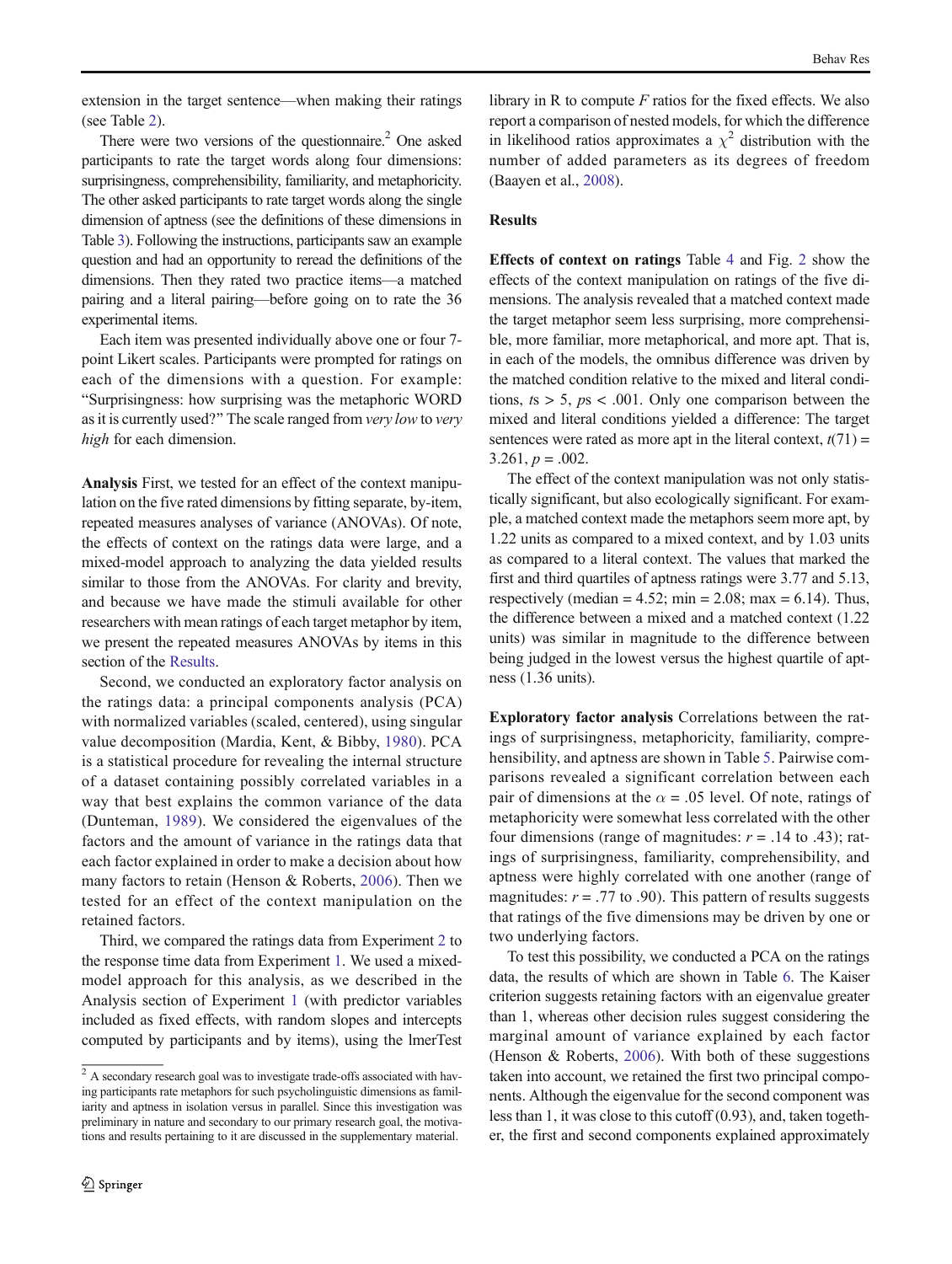extension in the target sentence—when making their ratings (see Table [2](#page-3-0)).

There were two versions of the questionnaire. $^{2}$  One asked participants to rate the target words along four dimensions: surprisingness, comprehensibility, familiarity, and metaphoricity. The other asked participants to rate target words along the single dimension of aptness (see the definitions of these dimensions in Table [3](#page-6-0)). Following the instructions, participants saw an example question and had an opportunity to reread the definitions of the dimensions. Then they rated two practice items—a matched pairing and a literal pairing—before going on to rate the 36 experimental items.

Each item was presented individually above one or four 7 point Likert scales. Participants were prompted for ratings on each of the dimensions with a question. For example: "Surprisingness: how surprising was the metaphoric WORD as it is currently used?" The scale ranged from very low to very high for each dimension.

Analysis First, we tested for an effect of the context manipulation on the five rated dimensions by fitting separate, by-item, repeated measures analyses of variance (ANOVAs). Of note, the effects of context on the ratings data were large, and a mixed-model approach to analyzing the data yielded results similar to those from the ANOVAs. For clarity and brevity, and because we have made the stimuli available for other researchers with mean ratings of each target metaphor by item, we present the repeated measures ANOVAs by items in this section of the [Results.](#page-4-0)

Second, we conducted an exploratory factor analysis on the ratings data: a principal components analysis (PCA) with normalized variables (scaled, centered), using singular value decomposition (Mardia, Kent, & Bibby, [1980\)](#page-13-0). PCA is a statistical procedure for revealing the internal structure of a dataset containing possibly correlated variables in a way that best explains the common variance of the data (Dunteman, [1989](#page-12-0)). We considered the eigenvalues of the factors and the amount of variance in the ratings data that each factor explained in order to make a decision about how many factors to retain (Henson & Roberts, [2006\)](#page-12-0). Then we tested for an effect of the context manipulation on the retained factors.

Third, we compared the ratings data from Experiment [2](#page-4-0) to the response time data from Experiment [1](#page-2-0). We used a mixedmodel approach for this analysis, as we described in the Analysis section of Experiment [1](#page-2-0) (with predictor variables included as fixed effects, with random slopes and intercepts computed by participants and by items), using the lmerTest

library in R to compute  $F$  ratios for the fixed effects. We also report a comparison of nested models, for which the difference in likelihood ratios approximates a  $\chi^2$  distribution with the number of added parameters as its degrees of freedom (Baayen et al., [2008\)](#page-12-0).

# **Results**

Effects of context on ratings Table [4](#page-6-0) and Fig. [2](#page-7-0) show the effects of the context manipulation on ratings of the five dimensions. The analysis revealed that a matched context made the target metaphor seem less surprising, more comprehensible, more familiar, more metaphorical, and more apt. That is, in each of the models, the omnibus difference was driven by the matched condition relative to the mixed and literal conditions,  $ts > 5$ ,  $ps < .001$ . Only one comparison between the mixed and literal conditions yielded a difference: The target sentences were rated as more apt in the literal context,  $t(71) =$  $3.261, p = .002.$ 

The effect of the context manipulation was not only statistically significant, but also ecologically significant. For example, a matched context made the metaphors seem more apt, by 1.22 units as compared to a mixed context, and by 1.03 units as compared to a literal context. The values that marked the first and third quartiles of aptness ratings were 3.77 and 5.13, respectively (median  $= 4.52$ ; min  $= 2.08$ ; max  $= 6.14$ ). Thus, the difference between a mixed and a matched context (1.22 units) was similar in magnitude to the difference between being judged in the lowest versus the highest quartile of aptness (1.36 units).

Exploratory factor analysis Correlations between the ratings of surprisingness, metaphoricity, familiarity, comprehensibility, and aptness are shown in Table [5.](#page-7-0) Pairwise comparisons revealed a significant correlation between each pair of dimensions at the  $\alpha$  = .05 level. Of note, ratings of metaphoricity were somewhat less correlated with the other four dimensions (range of magnitudes:  $r = .14$  to .43); ratings of surprisingness, familiarity, comprehensibility, and aptness were highly correlated with one another (range of magnitudes:  $r = .77$  to .90). This pattern of results suggests that ratings of the five dimensions may be driven by one or two underlying factors.

To test this possibility, we conducted a PCA on the ratings data, the results of which are shown in Table [6.](#page-7-0) The Kaiser criterion suggests retaining factors with an eigenvalue greater than 1, whereas other decision rules suggest considering the marginal amount of variance explained by each factor (Henson & Roberts, [2006](#page-12-0)). With both of these suggestions taken into account, we retained the first two principal components. Although the eigenvalue for the second component was less than 1, it was close to this cutoff (0.93), and, taken together, the first and second components explained approximately

<sup>&</sup>lt;sup>2</sup> A secondary research goal was to investigate trade-offs associated with having participants rate metaphors for such psycholinguistic dimensions as familiarity and aptness in isolation versus in parallel. Since this investigation was preliminary in nature and secondary to our primary research goal, the motivations and results pertaining to it are discussed in the supplementary material.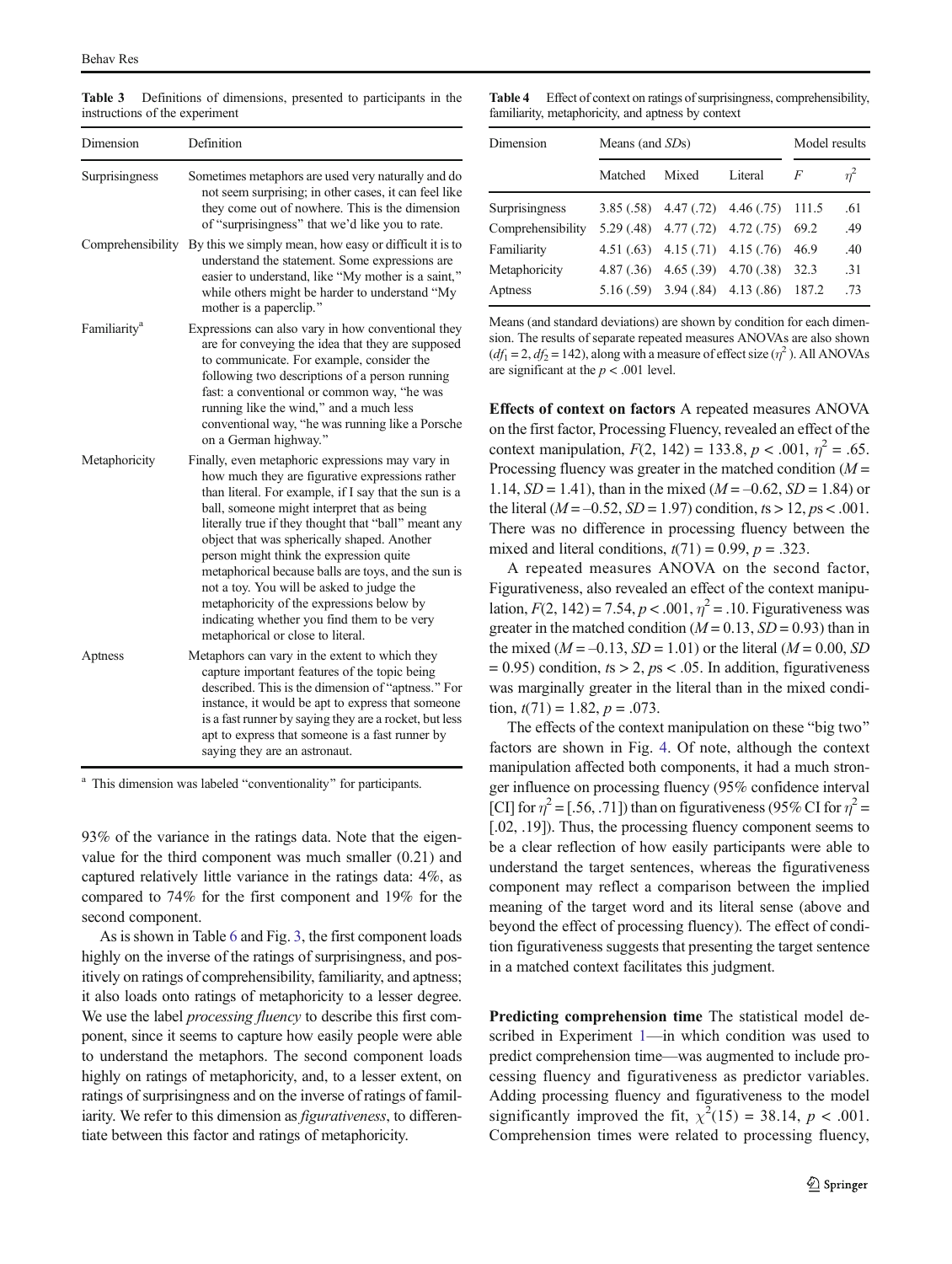| Dimension                | Definition                                                                                                                                                                                                                                                                                                                                                                                                                                                                                                                                                                                         |
|--------------------------|----------------------------------------------------------------------------------------------------------------------------------------------------------------------------------------------------------------------------------------------------------------------------------------------------------------------------------------------------------------------------------------------------------------------------------------------------------------------------------------------------------------------------------------------------------------------------------------------------|
| Surprisingness           | Sometimes metaphors are used very naturally and do<br>not seem surprising; in other cases, it can feel like<br>they come out of nowhere. This is the dimension<br>of "surprisingness" that we'd like you to rate.                                                                                                                                                                                                                                                                                                                                                                                  |
| Comprehensibility        | By this we simply mean, how easy or difficult it is to<br>understand the statement. Some expressions are<br>easier to understand, like "My mother is a saint,"<br>while others might be harder to understand "My<br>mother is a paperclip."                                                                                                                                                                                                                                                                                                                                                        |
| Familiarity <sup>a</sup> | Expressions can also vary in how conventional they<br>are for conveying the idea that they are supposed<br>to communicate. For example, consider the<br>following two descriptions of a person running<br>fast: a conventional or common way, "he was<br>running like the wind," and a much less<br>conventional way, "he was running like a Porsche<br>on a German highway."                                                                                                                                                                                                                      |
| Metaphoricity            | Finally, even metaphoric expressions may vary in<br>how much they are figurative expressions rather<br>than literal. For example, if I say that the sun is a<br>ball, someone might interpret that as being<br>literally true if they thought that "ball" meant any<br>object that was spherically shaped. Another<br>person might think the expression quite<br>metaphorical because balls are toys, and the sun is<br>not a toy. You will be asked to judge the<br>metaphoricity of the expressions below by<br>indicating whether you find them to be very<br>metaphorical or close to literal. |
| Aptness                  | Metaphors can vary in the extent to which they<br>capture important features of the topic being<br>described. This is the dimension of "aptness." For<br>instance, it would be apt to express that someone<br>is a fast runner by saying they are a rocket, but less<br>apt to express that someone is a fast runner by<br>saying they are an astronaut.                                                                                                                                                                                                                                           |

<span id="page-6-0"></span>Table 3 Definitions of dimensions, presented to participants in the instructions of the experiment

<sup>a</sup> This dimension was labeled "conventionality" for participants.

93% of the variance in the ratings data. Note that the eigenvalue for the third component was much smaller (0.21) and captured relatively little variance in the ratings data: 4%, as compared to 74% for the first component and 19% for the second component.

As is shown in Table [6](#page-7-0) and Fig. [3,](#page-8-0) the first component loads highly on the inverse of the ratings of surprisingness, and positively on ratings of comprehensibility, familiarity, and aptness; it also loads onto ratings of metaphoricity to a lesser degree. We use the label *processing fluency* to describe this first component, since it seems to capture how easily people were able to understand the metaphors. The second component loads highly on ratings of metaphoricity, and, to a lesser extent, on ratings of surprisingness and on the inverse of ratings of familiarity. We refer to this dimension as *figurativeness*, to differentiate between this factor and ratings of metaphoricity.

Table 4 Effect of context on ratings of surprisingness, comprehensibility, familiarity, metaphoricity, and aptness by context

|            | Model results |                         |                                                                                                                                                                                     |       |
|------------|---------------|-------------------------|-------------------------------------------------------------------------------------------------------------------------------------------------------------------------------------|-------|
| Matched    | Mixed         | Literal                 | F                                                                                                                                                                                   | $n^2$ |
|            |               |                         | 111.5                                                                                                                                                                               | .61   |
|            |               |                         | 69.2                                                                                                                                                                                | .49   |
|            |               |                         | 46.9                                                                                                                                                                                | .40   |
| 4.87(0.36) |               |                         | 32.3                                                                                                                                                                                | .31   |
|            |               |                         | 187.2                                                                                                                                                                               | .73   |
|            |               | Means (and <i>SD</i> s) | $3.85(.58)$ $4.47(.72)$ $4.46(.75)$<br>$5.29(.48)$ $4.77(.72)$ $4.72(.75)$<br>$4.51(.63)$ $4.15(.71)$ $4.15(.76)$<br>$4.65(.39)$ $4.70(.38)$<br>$5.16(.59)$ $3.94(.84)$ $4.13(.86)$ |       |

Means (and standard deviations) are shown by condition for each dimension. The results of separate repeated measures ANOVAs are also shown  $(df_1 = 2, df_2 = 142)$ , along with a measure of effect size  $(\eta^2)$ . All ANOVAs are significant at the  $p < .001$  level.

Effects of context on factors A repeated measures ANOVA on the first factor, Processing Fluency, revealed an effect of the context manipulation,  $F(2, 142) = 133.8, p < .001, \eta^2 = .65$ . Processing fluency was greater in the matched condition  $(M =$ 1.14,  $SD = 1.41$ ), than in the mixed ( $M = -0.62$ ,  $SD = 1.84$ ) or the literal ( $M = -0.52$ ,  $SD = 1.97$ ) condition,  $ts > 12$ ,  $ps < .001$ . There was no difference in processing fluency between the mixed and literal conditions,  $t(71) = 0.99$ ,  $p = .323$ .

A repeated measures ANOVA on the second factor, Figurativeness, also revealed an effect of the context manipulation,  $F(2, 142) = 7.54$ ,  $p < .001$ ,  $\eta^2 = .10$ . Figurativeness was greater in the matched condition ( $M = 0.13$ ,  $SD = 0.93$ ) than in the mixed ( $M = -0.13$ ,  $SD = 1.01$ ) or the literal ( $M = 0.00$ , SD  $= 0.95$ ) condition,  $ts > 2$ ,  $ps < .05$ . In addition, figurativeness was marginally greater in the literal than in the mixed condition,  $t(71) = 1.82$ ,  $p = .073$ .

The effects of the context manipulation on these "big two" factors are shown in Fig. [4.](#page-8-0) Of note, although the context manipulation affected both components, it had a much stronger influence on processing fluency (95% confidence interval [CI] for  $\eta^2$  = [.56, .71]) than on figurativeness (95% CI for  $\eta^2$  = [.02, .19]). Thus, the processing fluency component seems to be a clear reflection of how easily participants were able to understand the target sentences, whereas the figurativeness component may reflect a comparison between the implied meaning of the target word and its literal sense (above and beyond the effect of processing fluency). The effect of condition figurativeness suggests that presenting the target sentence in a matched context facilitates this judgment.

Predicting comprehension time The statistical model described in Experiment [1](#page-2-0)—in which condition was used to predict comprehension time—was augmented to include processing fluency and figurativeness as predictor variables. Adding processing fluency and figurativeness to the model significantly improved the fit,  $\chi^2(15) = 38.14$ ,  $p < .001$ . Comprehension times were related to processing fluency,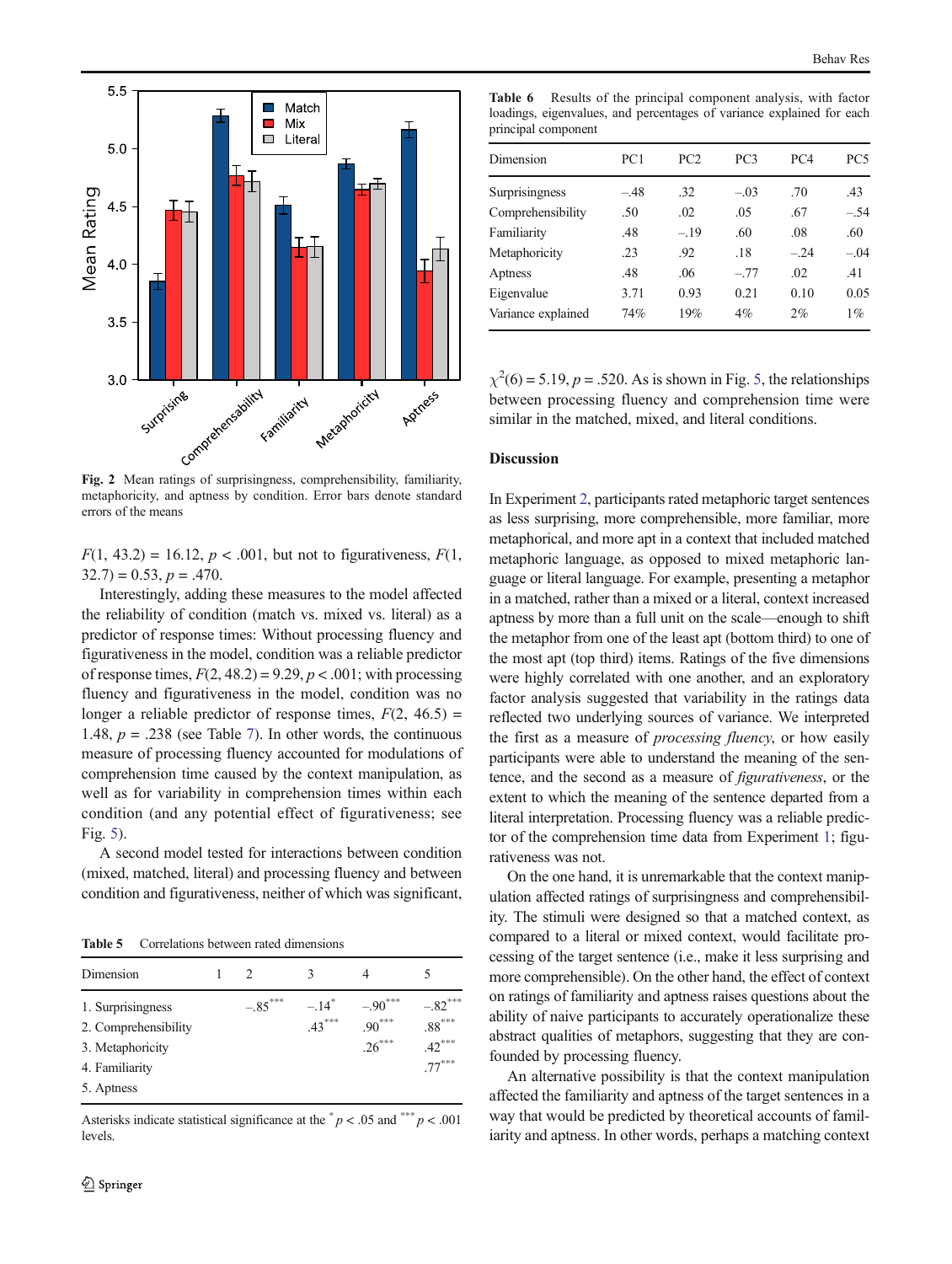<span id="page-7-0"></span>

metaphoricity, and aptness by condition. Error bars denote standard errors of the means

 $F(1, 43.2) = 16.12, p < .001$ , but not to figurativeness,  $F(1, 43.2) = 16.12, p < .001$ , but not to figurativeness,  $F(1, 43.2) = 16.12, p < .001$ , but not to figurativeness,  $F(1, 43.2) = 16.12, p < .001$ , but not to figurativeness,  $32.7$ ) = 0.53,  $p = .470$ .

Interestingly, adding these measures to the model affected the reliability of condition (match vs. mixed vs. literal) as a predictor of response times: Without processing fluency and figurativeness in the model, condition was a reliable predictor of response times,  $F(2, 48.2) = 9.29$ ,  $p < .001$ ; with processing fluency and figurativeness in the model, condition was no longer a reliable predictor of response times,  $F(2, 46.5) =$ 1.48,  $p = .238$  (see Table [7](#page-9-0)). In other words, the continuous measure of processing fluency accounted for modulations of comprehension time caused by the context manipulation, as well as for variability in comprehension times within each condition (and any potential effect of figurativeness; see Fig. [5\)](#page-9-0).

A second model tested for interactions between condition (mixed, matched, literal) and processing fluency and between condition and figurativeness, neither of which was significant,

Table 5 Correlations between rated dimensions

| Dimension                                                                                     |           |                                |                                   |                                                           |
|-----------------------------------------------------------------------------------------------|-----------|--------------------------------|-----------------------------------|-----------------------------------------------------------|
| 1. Surprisingness<br>2. Comprehensibility<br>3. Metaphoricity<br>4. Familiarity<br>5. Aptness | $-.85***$ | $-14$ <sup>*</sup><br>$.43***$ | $-.90***$<br>$.90***$<br>$.26***$ | $-.82***$<br>$.88^{\ast\ast\ast}$<br>$.42***$<br>$.77***$ |

Asterisks indicate statistical significance at the  $p < .05$  and  $p < .001$ levels.

Table 6 Results of the principal component analysis, with factor loadings, eigenvalues, and percentages of variance explained for each principal component

| Dimension          | PC1    | PC2    | PC <sub>3</sub> | PC <sub>4</sub> | PC <sub>5</sub> |
|--------------------|--------|--------|-----------------|-----------------|-----------------|
| Surprisingness     | $-.48$ | .32    | $-.03$          | .70             | .43             |
| Comprehensibility  | .50    | .02    | .05             | .67             | $-.54$          |
| Familiarity        | .48    | $-.19$ | .60             | .08             | .60             |
| Metaphoricity      | .23    | .92    | .18             | $-.24$          | $-.04$          |
| Aptness            | .48    | .06    | $-.77$          | .02             | .41             |
| Eigenvalue         | 3.71   | 0.93   | 0.21            | 0.10            | 0.05            |
| Variance explained | 74%    | 19%    | $4\%$           | 2%              | $1\%$           |
|                    |        |        |                 |                 |                 |

 $\chi^2(6)$  = [5](#page-9-0).19, p = .520. As is shown in Fig. 5, the relationships between processing fluency and comprehension time were similar in the matched, mixed, and literal conditions.

# Discussion

In Experiment [2,](#page-4-0) participants rated metaphoric target sentences as less surprising, more comprehensible, more familiar, more metaphorical, and more apt in a context that included matched metaphoric language, as opposed to mixed metaphoric language or literal language. For example, presenting a metaphor in a matched, rather than a mixed or a literal, context increased aptness by more than a full unit on the scale—enough to shift the metaphor from one of the least apt (bottom third) to one of the most apt (top third) items. Ratings of the five dimensions were highly correlated with one another, and an exploratory factor analysis suggested that variability in the ratings data reflected two underlying sources of variance. We interpreted the first as a measure of processing fluency, or how easily participants were able to understand the meaning of the sentence, and the second as a measure of figurativeness, or the extent to which the meaning of the sentence departed from a literal interpretation. Processing fluency was a reliable predictor of the comprehension time data from Experiment [1](#page-2-0); figurativeness was not.

On the one hand, it is unremarkable that the context manipulation affected ratings of surprisingness and comprehensibility. The stimuli were designed so that a matched context, as compared to a literal or mixed context, would facilitate processing of the target sentence (i.e., make it less surprising and more comprehensible). On the other hand, the effect of context on ratings of familiarity and aptness raises questions about the ability of naive participants to accurately operationalize these abstract qualities of metaphors, suggesting that they are confounded by processing fluency.

An alternative possibility is that the context manipulation affected the familiarity and aptness of the target sentences in a way that would be predicted by theoretical accounts of familiarity and aptness. In other words, perhaps a matching context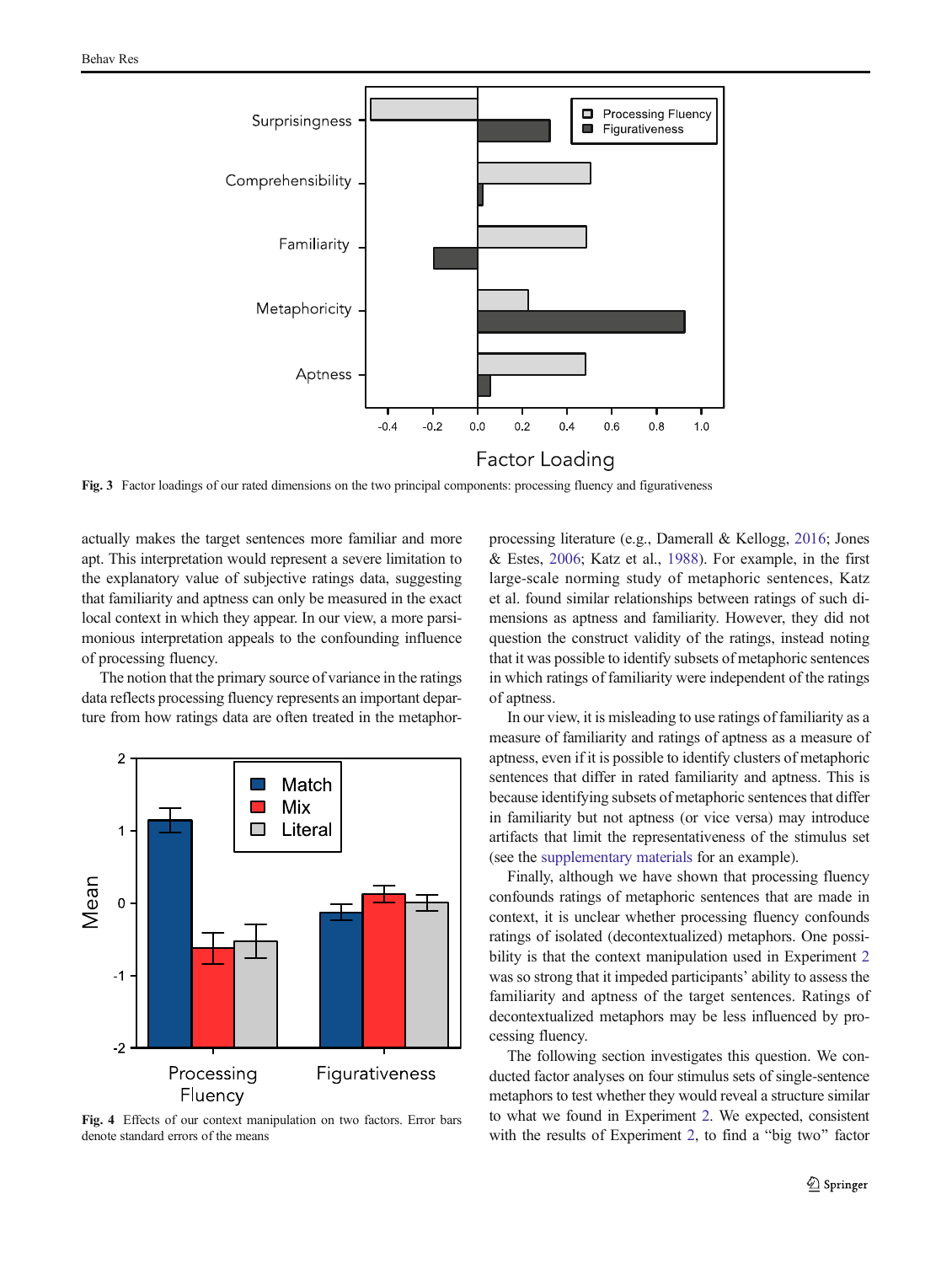<span id="page-8-0"></span>

Fig. 3 Factor loadings of our rated dimensions on the two principal components: processing fluency and figurativeness

actually makes the target sentences more familiar and more apt. This interpretation would represent a severe limitation to the explanatory value of subjective ratings data, suggesting that familiarity and aptness can only be measured in the exact local context in which they appear. In our view, a more parsimonious interpretation appeals to the confounding influence of processing fluency.

The notion that the primary source of variance in the ratings data reflects processing fluency represents an important departure from how ratings data are often treated in the metaphor-



Fig. 4 Effects of our context manipulation on two factors. Error bars denote standard errors of the means

processing literature (e.g., Damerall & Kellogg, [2016;](#page-12-0) Jones & Estes, [2006](#page-12-0); Katz et al., [1988](#page-12-0)). For example, in the first large-scale norming study of metaphoric sentences, Katz et al. found similar relationships between ratings of such dimensions as aptness and familiarity. However, they did not question the construct validity of the ratings, instead noting that it was possible to identify subsets of metaphoric sentences in which ratings of familiarity were independent of the ratings of aptness.

In our view, it is misleading to use ratings of familiarity as a measure of familiarity and ratings of aptness as a measure of aptness, even if it is possible to identify clusters of metaphoric sentences that differ in rated familiarity and aptness. This is because identifying subsets of metaphoric sentences that differ in familiarity but not aptness (or vice versa) may introduce artifacts that limit the representativeness of the stimulus set (see the supplementary materials for an example).

Finally, although we have shown that processing fluency confounds ratings of metaphoric sentences that are made in context, it is unclear whether processing fluency confounds ratings of isolated (decontextualized) metaphors. One possibility is that the context manipulation used in Experiment [2](#page-4-0) was so strong that it impeded participants' ability to assess the familiarity and aptness of the target sentences. Ratings of decontextualized metaphors may be less influenced by processing fluency.

The following section investigates this question. We conducted factor analyses on four stimulus sets of single-sentence metaphors to test whether they would reveal a structure similar to what we found in Experiment [2](#page-4-0). We expected, consistent with the results of Experiment [2,](#page-4-0) to find a "big two" factor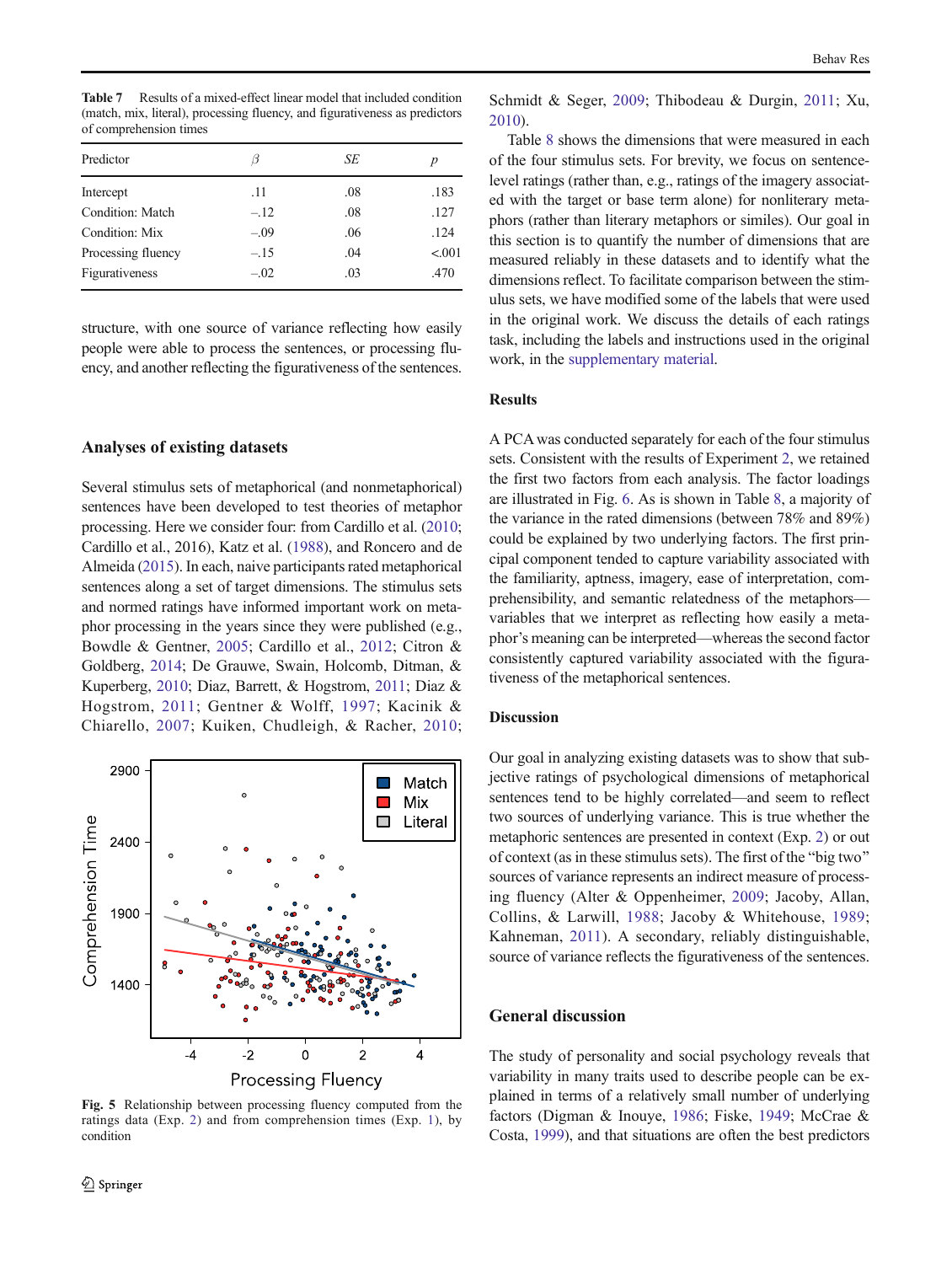<span id="page-9-0"></span>Table 7 Results of a mixed-effect linear model that included condition (match, mix, literal), processing fluency, and figurativeness as predictors of comprehension times

| Predictor          | 13     | SE  | р       |
|--------------------|--------|-----|---------|
| Intercept          | .11    | .08 | .183    |
| Condition: Match   | $-.12$ | .08 | .127    |
| Condition: Mix     | $-.09$ | .06 | .124    |
| Processing fluency | $-.15$ | .04 | < 0.001 |
| Figurativeness     | $-.02$ | .03 | .470    |

structure, with one source of variance reflecting how easily people were able to process the sentences, or processing fluency, and another reflecting the figurativeness of the sentences.

### Analyses of existing datasets

Several stimulus sets of metaphorical (and nonmetaphorical) sentences have been developed to test theories of metaphor processing. Here we consider four: from Cardillo et al. ([2010](#page-12-0); Cardillo et al., 2016), Katz et al. ([1988](#page-12-0)), and Roncero and de Almeida [\(2015\)](#page-13-0). In each, naive participants rated metaphorical sentences along a set of target dimensions. The stimulus sets and normed ratings have informed important work on metaphor processing in the years since they were published (e.g., Bowdle & Gentner, [2005;](#page-12-0) Cardillo et al., [2012;](#page-12-0) Citron & Goldberg, [2014;](#page-12-0) De Grauwe, Swain, Holcomb, Ditman, & Kuperberg, [2010;](#page-12-0) Diaz, Barrett, & Hogstrom, [2011](#page-12-0); Diaz & Hogstrom, [2011;](#page-12-0) Gentner & Wolff, [1997](#page-12-0); Kacinik & Chiarello, [2007](#page-12-0); Kuiken, Chudleigh, & Racher, [2010](#page-13-0);



Fig. 5 Relationship between processing fluency computed from the ratings data (Exp. [2](#page-4-0)) and from comprehension times (Exp. [1\)](#page-2-0), by condition

Schmidt & Seger, [2009;](#page-13-0) Thibodeau & Durgin, [2011;](#page-13-0) Xu, [2010\)](#page-13-0).

Table [8](#page-10-0) shows the dimensions that were measured in each of the four stimulus sets. For brevity, we focus on sentencelevel ratings (rather than, e.g., ratings of the imagery associated with the target or base term alone) for nonliterary metaphors (rather than literary metaphors or similes). Our goal in this section is to quantify the number of dimensions that are measured reliably in these datasets and to identify what the dimensions reflect. To facilitate comparison between the stimulus sets, we have modified some of the labels that were used in the original work. We discuss the details of each ratings task, including the labels and instructions used in the original work, in the supplementary material.

# Results

A PCAwas conducted separately for each of the four stimulus sets. Consistent with the results of Experiment [2](#page-4-0), we retained the first two factors from each analysis. The factor loadings are illustrated in Fig. [6](#page-10-0). As is shown in Table [8,](#page-10-0) a majority of the variance in the rated dimensions (between 78% and 89%) could be explained by two underlying factors. The first principal component tended to capture variability associated with the familiarity, aptness, imagery, ease of interpretation, comprehensibility, and semantic relatedness of the metaphors variables that we interpret as reflecting how easily a metaphor's meaning can be interpreted—whereas the second factor consistently captured variability associated with the figurativeness of the metaphorical sentences.

# Discussion

Our goal in analyzing existing datasets was to show that subjective ratings of psychological dimensions of metaphorical sentences tend to be highly correlated—and seem to reflect two sources of underlying variance. This is true whether the metaphoric sentences are presented in context (Exp. [2](#page-4-0)) or out of context (as in these stimulus sets). The first of the "big two" sources of variance represents an indirect measure of processing fluency (Alter & Oppenheimer, [2009](#page-12-0); Jacoby, Allan, Collins, & Larwill, [1988;](#page-12-0) Jacoby & Whitehouse, [1989;](#page-12-0) Kahneman, [2011\)](#page-12-0). A secondary, reliably distinguishable, source of variance reflects the figurativeness of the sentences.

# General discussion

The study of personality and social psychology reveals that variability in many traits used to describe people can be explained in terms of a relatively small number of underlying factors (Digman & Inouye, [1986;](#page-12-0) Fiske, [1949;](#page-12-0) McCrae & Costa, [1999](#page-13-0)), and that situations are often the best predictors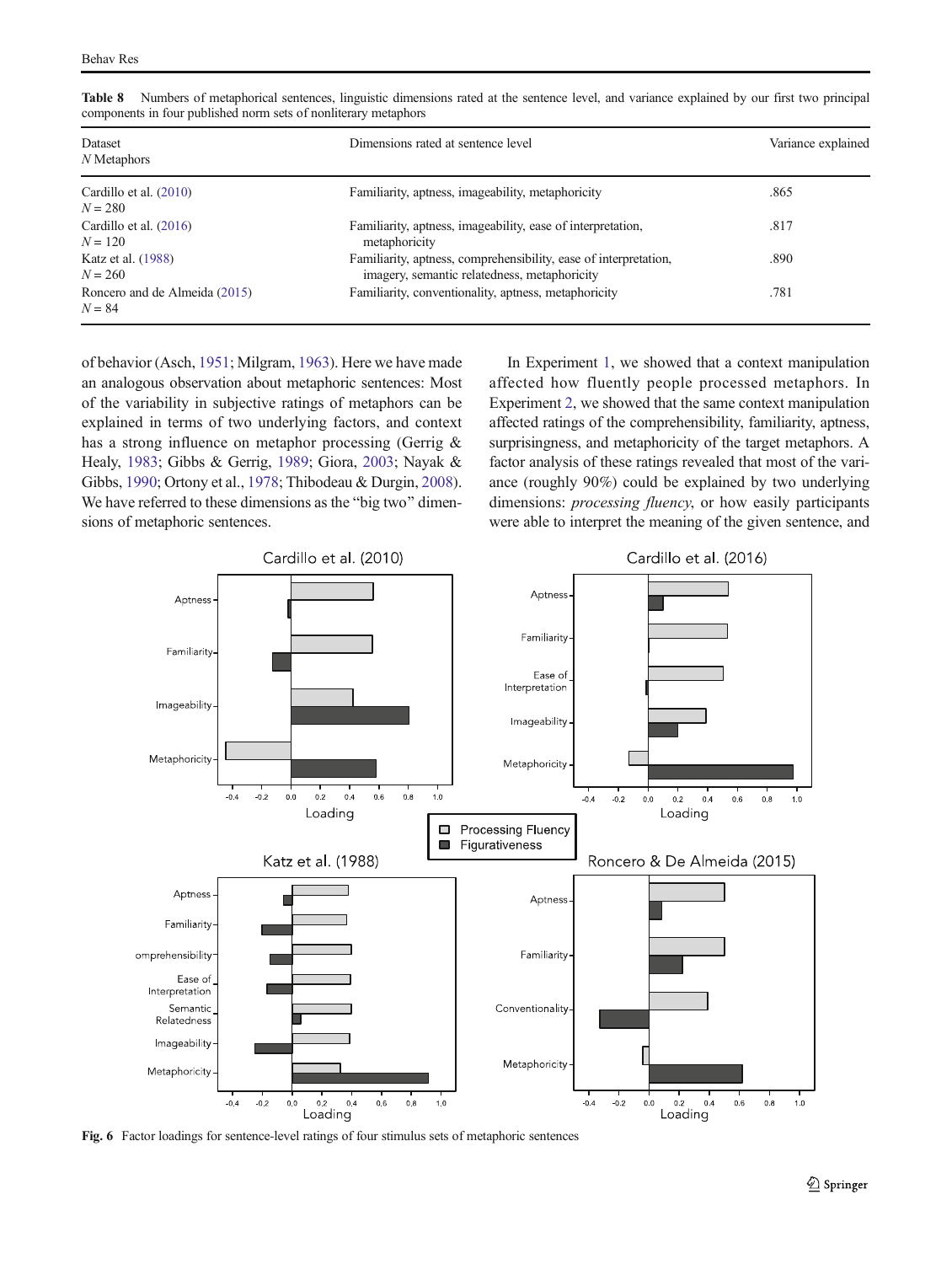| Dataset<br>N Metaphors                    | Dimensions rated at sentence level                                                                               | Variance explained |
|-------------------------------------------|------------------------------------------------------------------------------------------------------------------|--------------------|
| Cardillo et al. (2010)<br>$N = 280$       | Familiarity, aptness, imageability, metaphoricity                                                                | .865               |
| Cardillo et al. $(2016)$<br>$N = 120$     | Familiarity, aptness, imageability, ease of interpretation,<br>metaphoricity                                     | .817               |
| Katz et al. (1988)<br>$N = 260$           | Familiarity, aptness, comprehensibility, ease of interpretation,<br>imagery, semantic relatedness, metaphoricity | .890               |
| Roncero and de Almeida (2015)<br>$N = 84$ | Familiarity, conventionality, aptness, metaphoricity                                                             | .781               |

<span id="page-10-0"></span>Table 8 Numbers of metaphorical sentences, linguistic dimensions rated at the sentence level, and variance explained by our first two principal components in four published norm sets of nonliterary metaphors

of behavior (Asch, [1951;](#page-12-0) Milgram, [1963](#page-13-0)). Here we have made an analogous observation about metaphoric sentences: Most of the variability in subjective ratings of metaphors can be explained in terms of two underlying factors, and context has a strong influence on metaphor processing (Gerrig & Healy, [1983;](#page-12-0) Gibbs & Gerrig, [1989](#page-12-0); Giora, [2003;](#page-12-0) Nayak & Gibbs, [1990](#page-13-0); Ortony et al., [1978](#page-13-0); Thibodeau & Durgin, [2008\)](#page-13-0). We have referred to these dimensions as the "big two" dimensions of metaphoric sentences.

In Experiment [1](#page-2-0), we showed that a context manipulation affected how fluently people processed metaphors. In Experiment [2](#page-4-0), we showed that the same context manipulation affected ratings of the comprehensibility, familiarity, aptness, surprisingness, and metaphoricity of the target metaphors. A factor analysis of these ratings revealed that most of the variance (roughly 90%) could be explained by two underlying dimensions: processing fluency, or how easily participants were able to interpret the meaning of the given sentence, and



Fig. 6 Factor loadings for sentence-level ratings of four stimulus sets of metaphoric sentences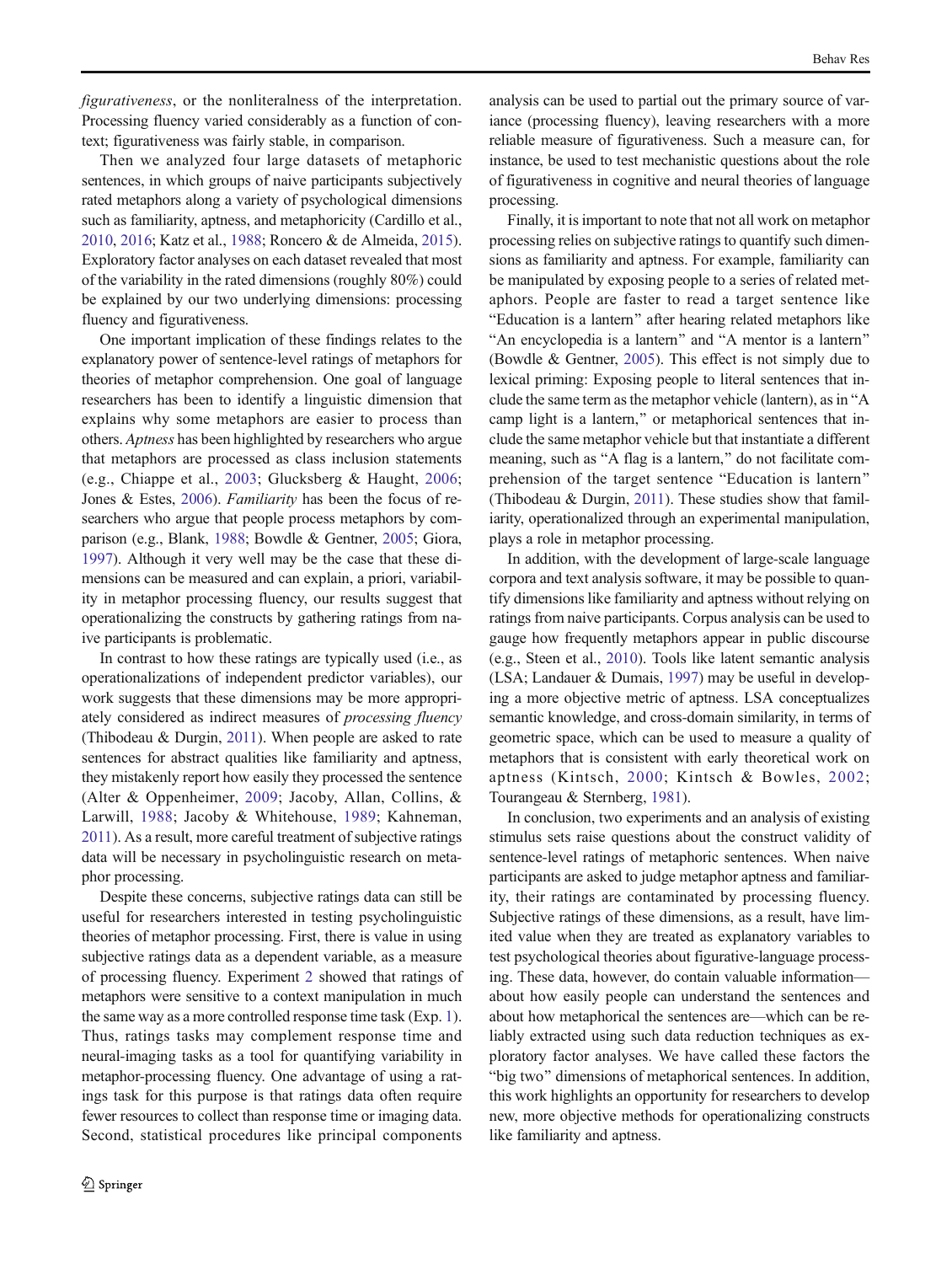figurativeness, or the nonliteralness of the interpretation. Processing fluency varied considerably as a function of context; figurativeness was fairly stable, in comparison.

Then we analyzed four large datasets of metaphoric sentences, in which groups of naive participants subjectively rated metaphors along a variety of psychological dimensions such as familiarity, aptness, and metaphoricity (Cardillo et al., [2010,](#page-12-0) [2016](#page-12-0); Katz et al., [1988;](#page-12-0) Roncero & de Almeida, [2015\)](#page-13-0). Exploratory factor analyses on each dataset revealed that most of the variability in the rated dimensions (roughly 80%) could be explained by our two underlying dimensions: processing fluency and figurativeness.

One important implication of these findings relates to the explanatory power of sentence-level ratings of metaphors for theories of metaphor comprehension. One goal of language researchers has been to identify a linguistic dimension that explains why some metaphors are easier to process than others. Aptness has been highlighted by researchers who argue that metaphors are processed as class inclusion statements (e.g., Chiappe et al., [2003](#page-12-0); Glucksberg & Haught, [2006](#page-12-0); Jones & Estes, [2006\)](#page-12-0). Familiarity has been the focus of researchers who argue that people process metaphors by comparison (e.g., Blank, [1988](#page-12-0); Bowdle & Gentner, [2005;](#page-12-0) Giora, [1997\)](#page-12-0). Although it very well may be the case that these dimensions can be measured and can explain, a priori, variability in metaphor processing fluency, our results suggest that operationalizing the constructs by gathering ratings from naive participants is problematic.

In contrast to how these ratings are typically used (i.e., as operationalizations of independent predictor variables), our work suggests that these dimensions may be more appropriately considered as indirect measures of processing fluency (Thibodeau & Durgin, [2011](#page-13-0)). When people are asked to rate sentences for abstract qualities like familiarity and aptness, they mistakenly report how easily they processed the sentence (Alter & Oppenheimer, [2009](#page-12-0); Jacoby, Allan, Collins, & Larwill, [1988](#page-12-0); Jacoby & Whitehouse, [1989;](#page-12-0) Kahneman, [2011](#page-12-0)). As a result, more careful treatment of subjective ratings data will be necessary in psycholinguistic research on metaphor processing.

Despite these concerns, subjective ratings data can still be useful for researchers interested in testing psycholinguistic theories of metaphor processing. First, there is value in using subjective ratings data as a dependent variable, as a measure of processing fluency. Experiment [2](#page-4-0) showed that ratings of metaphors were sensitive to a context manipulation in much the same way as a more controlled response time task (Exp. [1\)](#page-2-0). Thus, ratings tasks may complement response time and neural-imaging tasks as a tool for quantifying variability in metaphor-processing fluency. One advantage of using a ratings task for this purpose is that ratings data often require fewer resources to collect than response time or imaging data. Second, statistical procedures like principal components

analysis can be used to partial out the primary source of variance (processing fluency), leaving researchers with a more reliable measure of figurativeness. Such a measure can, for instance, be used to test mechanistic questions about the role of figurativeness in cognitive and neural theories of language processing.

Finally, it is important to note that not all work on metaphor processing relies on subjective ratings to quantify such dimensions as familiarity and aptness. For example, familiarity can be manipulated by exposing people to a series of related metaphors. People are faster to read a target sentence like "Education is a lantern" after hearing related metaphors like "An encyclopedia is a lantern" and "A mentor is a lantern" (Bowdle & Gentner, [2005\)](#page-12-0). This effect is not simply due to lexical priming: Exposing people to literal sentences that include the same term as the metaphor vehicle (lantern), as in "A camp light is a lantern," or metaphorical sentences that include the same metaphor vehicle but that instantiate a different meaning, such as "A flag is a lantern," do not facilitate comprehension of the target sentence "Education is lantern" (Thibodeau & Durgin, [2011](#page-13-0)). These studies show that familiarity, operationalized through an experimental manipulation, plays a role in metaphor processing.

In addition, with the development of large-scale language corpora and text analysis software, it may be possible to quantify dimensions like familiarity and aptness without relying on ratings from naive participants. Corpus analysis can be used to gauge how frequently metaphors appear in public discourse (e.g., Steen et al., [2010](#page-13-0)). Tools like latent semantic analysis (LSA; Landauer & Dumais, [1997](#page-13-0)) may be useful in developing a more objective metric of aptness. LSA conceptualizes semantic knowledge, and cross-domain similarity, in terms of geometric space, which can be used to measure a quality of metaphors that is consistent with early theoretical work on aptness (Kintsch, [2000](#page-13-0); Kintsch & Bowles, [2002;](#page-13-0) Tourangeau & Sternberg, [1981\)](#page-13-0).

In conclusion, two experiments and an analysis of existing stimulus sets raise questions about the construct validity of sentence-level ratings of metaphoric sentences. When naive participants are asked to judge metaphor aptness and familiarity, their ratings are contaminated by processing fluency. Subjective ratings of these dimensions, as a result, have limited value when they are treated as explanatory variables to test psychological theories about figurative-language processing. These data, however, do contain valuable information about how easily people can understand the sentences and about how metaphorical the sentences are—which can be reliably extracted using such data reduction techniques as exploratory factor analyses. We have called these factors the "big two" dimensions of metaphorical sentences. In addition, this work highlights an opportunity for researchers to develop new, more objective methods for operationalizing constructs like familiarity and aptness.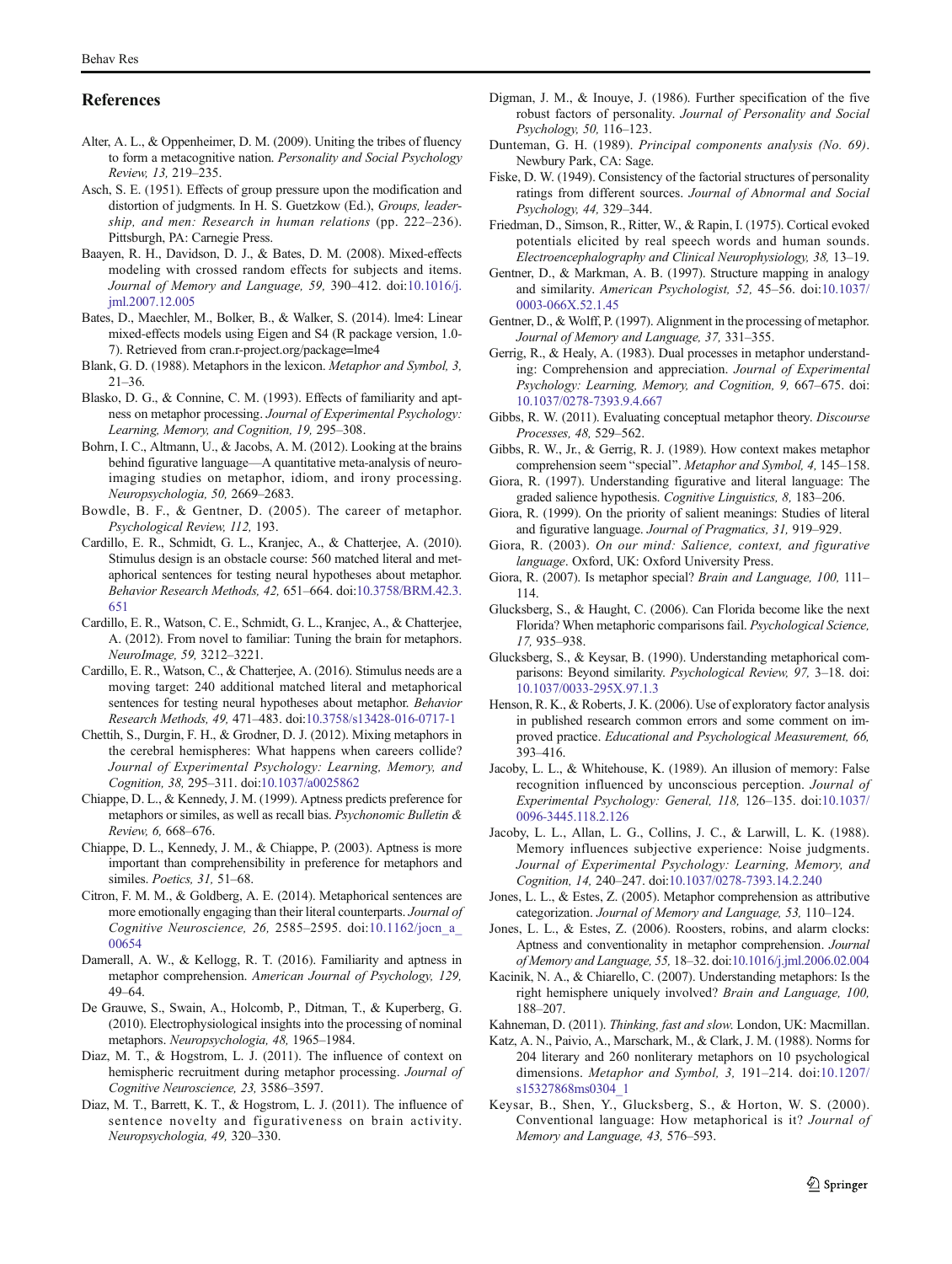## <span id="page-12-0"></span>References

- Alter, A. L., & Oppenheimer, D. M. (2009). Uniting the tribes of fluency to form a metacognitive nation. Personality and Social Psychology Review, 13, 219–235.
- Asch, S. E. (1951). Effects of group pressure upon the modification and distortion of judgments. In H. S. Guetzkow (Ed.), Groups, leadership, and men: Research in human relations (pp. 222–236). Pittsburgh, PA: Carnegie Press.
- Baayen, R. H., Davidson, D. J., & Bates, D. M. (2008). Mixed-effects modeling with crossed random effects for subjects and items. Journal of Memory and Language, 59, 390–412. doi:[10.1016/j.](http://dx.doi.org/10.1016/j.jml.2007.12.005) [jml.2007.12.005](http://dx.doi.org/10.1016/j.jml.2007.12.005)
- Bates, D., Maechler, M., Bolker, B., & Walker, S. (2014). lme4: Linear mixed-effects models using Eigen and S4 (R package version, 1.0- 7). Retrieved from cran.r-project.org/package=lme4
- Blank, G. D. (1988). Metaphors in the lexicon. Metaphor and Symbol, 3, 21–36.
- Blasko, D. G., & Connine, C. M. (1993). Effects of familiarity and aptness on metaphor processing. Journal of Experimental Psychology: Learning, Memory, and Cognition, 19, 295–308.
- Bohrn, I. C., Altmann, U., & Jacobs, A. M. (2012). Looking at the brains behind figurative language—A quantitative meta-analysis of neuroimaging studies on metaphor, idiom, and irony processing. Neuropsychologia, 50, 2669–2683.
- Bowdle, B. F., & Gentner, D. (2005). The career of metaphor. Psychological Review, 112, 193.
- Cardillo, E. R., Schmidt, G. L., Kranjec, A., & Chatterjee, A. (2010). Stimulus design is an obstacle course: 560 matched literal and metaphorical sentences for testing neural hypotheses about metaphor. Behavior Research Methods, 42, 651–664. doi[:10.3758/BRM.42.3.](http://dx.doi.org/10.3758/BRM.42.3.651) [651](http://dx.doi.org/10.3758/BRM.42.3.651)
- Cardillo, E. R., Watson, C. E., Schmidt, G. L., Kranjec, A., & Chatterjee, A. (2012). From novel to familiar: Tuning the brain for metaphors. NeuroImage, 59, 3212–3221.
- Cardillo, E. R., Watson, C., & Chatterjee, A. (2016). Stimulus needs are a moving target: 240 additional matched literal and metaphorical sentences for testing neural hypotheses about metaphor. Behavior Research Methods, 49, 471–483. doi[:10.3758/s13428-016-0717-1](http://dx.doi.org/10.3758/s13428-016-0717-1)
- Chettih, S., Durgin, F. H., & Grodner, D. J. (2012). Mixing metaphors in the cerebral hemispheres: What happens when careers collide? Journal of Experimental Psychology: Learning, Memory, and Cognition, 38, 295–311. doi[:10.1037/a0025862](http://dx.doi.org/10.1037/a0025862)
- Chiappe, D. L., & Kennedy, J. M. (1999). Aptness predicts preference for metaphors or similes, as well as recall bias. Psychonomic Bulletin & Review, 6, 668–676.
- Chiappe, D. L., Kennedy, J. M., & Chiappe, P. (2003). Aptness is more important than comprehensibility in preference for metaphors and similes. Poetics, 31, 51-68.
- Citron, F. M. M., & Goldberg, A. E. (2014). Metaphorical sentences are more emotionally engaging than their literal counterparts. Journal of Cognitive Neuroscience, 26, 2585–2595. doi:[10.1162/jocn\\_a\\_](http://dx.doi.org/10.1162/jocn_a_00654) [00654](http://dx.doi.org/10.1162/jocn_a_00654)
- Damerall, A. W., & Kellogg, R. T. (2016). Familiarity and aptness in metaphor comprehension. American Journal of Psychology, 129, 49–64.
- De Grauwe, S., Swain, A., Holcomb, P., Ditman, T., & Kuperberg, G. (2010). Electrophysiological insights into the processing of nominal metaphors. Neuropsychologia, 48, 1965–1984.
- Diaz, M. T., & Hogstrom, L. J. (2011). The influence of context on hemispheric recruitment during metaphor processing. Journal of Cognitive Neuroscience, 23, 3586–3597.
- Diaz, M. T., Barrett, K. T., & Hogstrom, L. J. (2011). The influence of sentence novelty and figurativeness on brain activity. Neuropsychologia, 49, 320–330.
- Digman, J. M., & Inouye, J. (1986). Further specification of the five robust factors of personality. Journal of Personality and Social Psychology, 50, 116–123.
- Dunteman, G. H. (1989). Principal components analysis (No. 69). Newbury Park, CA: Sage.
- Fiske, D. W. (1949). Consistency of the factorial structures of personality ratings from different sources. Journal of Abnormal and Social Psychology, 44, 329–344.
- Friedman, D., Simson, R., Ritter, W., & Rapin, I. (1975). Cortical evoked potentials elicited by real speech words and human sounds. Electroencephalography and Clinical Neurophysiology, 38, 13–19.
- Gentner, D., & Markman, A. B. (1997). Structure mapping in analogy and similarity. American Psychologist, 52, 45–56. doi[:10.1037/](http://dx.doi.org/10.1037/0003-066X.52.1.45) [0003-066X.52.1.45](http://dx.doi.org/10.1037/0003-066X.52.1.45)
- Gentner, D., & Wolff, P. (1997). Alignment in the processing of metaphor. Journal of Memory and Language, 37, 331–355.
- Gerrig, R., & Healy, A. (1983). Dual processes in metaphor understanding: Comprehension and appreciation. Journal of Experimental Psychology: Learning, Memory, and Cognition, 9, 667–675. doi: [10.1037/0278-7393.9.4.667](http://dx.doi.org/10.1037/0278-7393.9.4.667)
- Gibbs, R. W. (2011). Evaluating conceptual metaphor theory. Discourse Processes, 48, 529–562.
- Gibbs, R. W., Jr., & Gerrig, R. J. (1989). How context makes metaphor comprehension seem "special". Metaphor and Symbol, 4, 145–158.
- Giora, R. (1997). Understanding figurative and literal language: The graded salience hypothesis. Cognitive Linguistics, 8, 183–206.
- Giora, R. (1999). On the priority of salient meanings: Studies of literal and figurative language. Journal of Pragmatics, 31, 919–929.
- Giora, R. (2003). On our mind: Salience, context, and figurative language. Oxford, UK: Oxford University Press.
- Giora, R. (2007). Is metaphor special? Brain and Language, 100, 111– 114.
- Glucksberg, S., & Haught, C. (2006). Can Florida become like the next Florida? When metaphoric comparisons fail. Psychological Science, 17, 935–938.
- Glucksberg, S., & Keysar, B. (1990). Understanding metaphorical comparisons: Beyond similarity. Psychological Review, 97, 3–18. doi: [10.1037/0033-295X.97.1.3](http://dx.doi.org/10.1037/0033-295X.97.1.3)
- Henson, R. K., & Roberts, J. K. (2006). Use of exploratory factor analysis in published research common errors and some comment on improved practice. Educational and Psychological Measurement, 66, 393–416.
- Jacoby, L. L., & Whitehouse, K. (1989). An illusion of memory: False recognition influenced by unconscious perception. Journal of Experimental Psychology: General, 118, 126–135. doi[:10.1037/](http://dx.doi.org/10.1037/0096-3445.118.2.126) [0096-3445.118.2.126](http://dx.doi.org/10.1037/0096-3445.118.2.126)
- Jacoby, L. L., Allan, L. G., Collins, J. C., & Larwill, L. K. (1988). Memory influences subjective experience: Noise judgments. Journal of Experimental Psychology: Learning, Memory, and Cognition, 14, 240–247. doi:[10.1037/0278-7393.14.2.240](http://dx.doi.org/10.1037/0278-7393.14.2.240)
- Jones, L. L., & Estes, Z. (2005). Metaphor comprehension as attributive categorization. Journal of Memory and Language, 53, 110–124.
- Jones, L. L., & Estes, Z. (2006). Roosters, robins, and alarm clocks: Aptness and conventionality in metaphor comprehension. Journal of Memory and Language, 55, 18–32. doi[:10.1016/j.jml.2006.02.004](http://dx.doi.org/10.1016/j.jml.2006.02.004)
- Kacinik, N. A., & Chiarello, C. (2007). Understanding metaphors: Is the right hemisphere uniquely involved? Brain and Language, 100, 188–207.
- Kahneman, D. (2011). Thinking, fast and slow. London, UK: Macmillan.
- Katz, A. N., Paivio, A., Marschark, M., & Clark, J. M. (1988). Norms for 204 literary and 260 nonliterary metaphors on 10 psychological dimensions. Metaphor and Symbol, 3, 191–214. doi[:10.1207/](http://dx.doi.org/10.1207/s15327868ms0304_1) [s15327868ms0304\\_1](http://dx.doi.org/10.1207/s15327868ms0304_1)
- Keysar, B., Shen, Y., Glucksberg, S., & Horton, W. S. (2000). Conventional language: How metaphorical is it? Journal of Memory and Language, 43, 576–593.